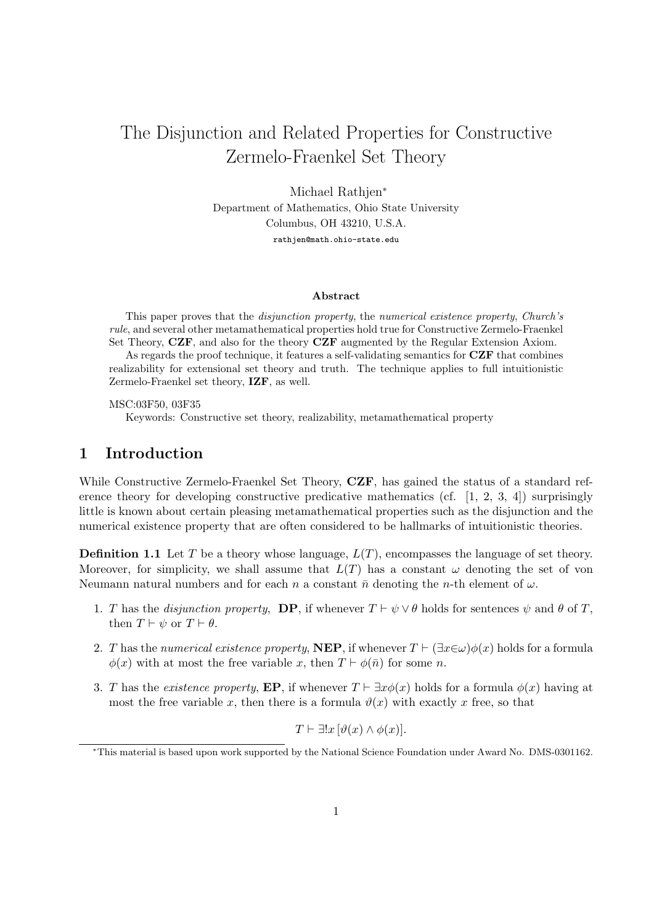# The Disjunction and Related Properties for Constructive Zermelo-Fraenkel Set Theory

Michael Rathjen<sup>∗</sup> Department of Mathematics, Ohio State University Columbus, OH 43210, U.S.A. rathjen@math.ohio-state.edu

#### Abstract

This paper proves that the disjunction property, the numerical existence property, Church's rule, and several other metamathematical properties hold true for Constructive Zermelo-Fraenkel Set Theory, CZF, and also for the theory CZF augmented by the Regular Extension Axiom.

As regards the proof technique, it features a self-validating semantics for CZF that combines realizability for extensional set theory and truth. The technique applies to full intuitionistic Zermelo-Fraenkel set theory, IZF, as well.

MSC:03F50, 03F35

Keywords: Constructive set theory, realizability, metamathematical property

# 1 Introduction

While Constructive Zermelo-Fraenkel Set Theory, CZF, has gained the status of a standard reference theory for developing constructive predicative mathematics (cf.  $[1, 2, 3, 4]$ ) surprisingly little is known about certain pleasing metamathematical properties such as the disjunction and the numerical existence property that are often considered to be hallmarks of intuitionistic theories.

**Definition 1.1** Let T be a theory whose language,  $L(T)$ , encompasses the language of set theory. Moreover, for simplicity, we shall assume that  $L(T)$  has a constant  $\omega$  denoting the set of von Neumann natural numbers and for each n a constant  $\bar{n}$  denoting the n-th element of  $\omega$ .

- 1. T has the *disjunction property*, **DP**, if whenever  $T \vdash \psi \lor \theta$  holds for sentences  $\psi$  and  $\theta$  of T, then  $T \vdash \psi$  or  $T \vdash \theta$ .
- 2. T has the numerical existence property, NEP, if whenever  $T \vdash (\exists x \in \omega) \phi(x)$  holds for a formula  $\phi(x)$  with at most the free variable x, then  $T \vdash \phi(\bar{n})$  for some n.
- 3. T has the existence property, EP, if whenever  $T \vdash \exists x \phi(x)$  holds for a formula  $\phi(x)$  having at most the free variable x, then there is a formula  $\vartheta(x)$  with exactly x free, so that

$$
T \vdash \exists !x \, [\vartheta(x) \land \phi(x)].
$$

<sup>∗</sup>This material is based upon work supported by the National Science Foundation under Award No. DMS-0301162.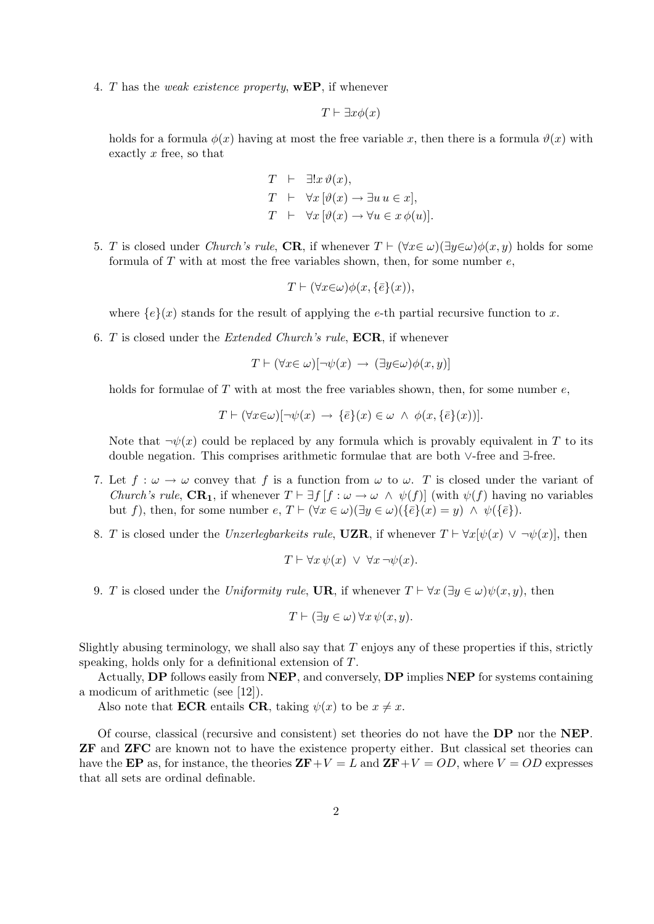4. T has the weak existence property, **wEP**, if whenever

$$
T \vdash \exists x \phi(x)
$$

holds for a formula  $\phi(x)$  having at most the free variable x, then there is a formula  $\vartheta(x)$  with exactly  $x$  free, so that

$$
T \vdash \exists !x \vartheta(x),
$$
  
\n
$$
T \vdash \forall x [\vartheta(x) \to \exists u \ u \in x],
$$
  
\n
$$
T \vdash \forall x [\vartheta(x) \to \forall u \in x \ \varphi(u)].
$$

5. T is closed under Church's rule, CR, if whenever  $T \vdash (\forall x \in \omega)(\exists y \in \omega)\phi(x, y)$  holds for some formula of T with at most the free variables shown, then, for some number  $e$ .

$$
T \vdash (\forall x \in \omega) \phi(x, \{\bar{e}\}(x)),
$$

where  ${e}{x}$  stands for the result of applying the e-th partial recursive function to x.

6. T is closed under the *Extended Church's rule*,  $\text{ECR}$ , if whenever

$$
T \vdash (\forall x \in \omega) [\neg \psi(x) \rightarrow (\exists y \in \omega) \phi(x, y)]
$$

holds for formulae of  $T$  with at most the free variables shown, then, for some number  $e$ ,

$$
T \vdash (\forall x \in \omega) [\neg \psi(x) \rightarrow \{\overline{e}\}(x) \in \omega \ \land \ \phi(x, \{\overline{e}\}(x))].
$$

Note that  $\neg \psi(x)$  could be replaced by any formula which is provably equivalent in T to its double negation. This comprises arithmetic formulae that are both ∨-free and ∃-free.

- 7. Let  $f : \omega \to \omega$  convey that f is a function from  $\omega$  to  $\omega$ . T is closed under the variant of Church's rule,  $\text{CR}_1$ , if whenever  $T \vdash \exists f \, [f : \omega \to \omega \land \psi(f)]$  (with  $\psi(f)$  having no variables but f), then, for some number  $e, T \vdash (\forall x \in \omega)(\exists y \in \omega)(\{\overline{e}\}(x) = y) \land \psi(\{\overline{e}\}).$
- 8. T is closed under the Unzerlegbarkeits rule, UZR, if whenever  $T \vdash \forall x [\psi(x) \lor \neg \psi(x)]$ , then

$$
T \vdash \forall x \, \psi(x) \ \lor \ \forall x \, \neg \psi(x).
$$

9. T is closed under the Uniformity rule, UR, if whenever  $T \vdash \forall x (\exists y \in \omega) \psi(x, y)$ , then

$$
T \vdash (\exists y \in \omega) \,\forall x \,\psi(x, y).
$$

Slightly abusing terminology, we shall also say that  $T$  enjoys any of these properties if this, strictly speaking, holds only for a definitional extension of T.

Actually, DP follows easily from NEP, and conversely, DP implies NEP for systems containing a modicum of arithmetic (see [12]).

Also note that **ECR** entails **CR**, taking  $\psi(x)$  to be  $x \neq x$ .

Of course, classical (recursive and consistent) set theories do not have the DP nor the NEP. ZF and ZFC are known not to have the existence property either. But classical set theories can have the EP as, for instance, the theories  $\mathbf{ZF}+V = L$  and  $\mathbf{ZF}+V = OD$ , where  $V = OD$  expresses that all sets are ordinal definable.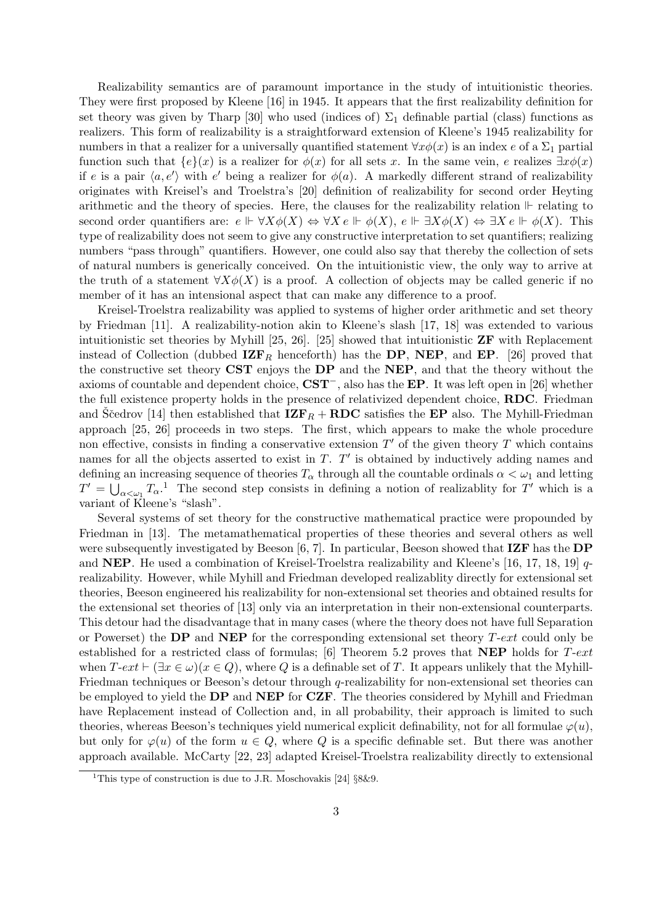Realizability semantics are of paramount importance in the study of intuitionistic theories. They were first proposed by Kleene [16] in 1945. It appears that the first realizability definition for set theory was given by Tharp [30] who used (indices of)  $\Sigma_1$  definable partial (class) functions as realizers. This form of realizability is a straightforward extension of Kleene's 1945 realizability for numbers in that a realizer for a universally quantified statement  $\forall x \phi(x)$  is an index e of a  $\Sigma_1$  partial function such that  ${e}(x)$  is a realizer for  $\phi(x)$  for all sets x. In the same vein, e realizes  $\exists x \phi(x)$ if e is a pair  $\langle a, e' \rangle$  with e' being a realizer for  $\phi(a)$ . A markedly different strand of realizability originates with Kreisel's and Troelstra's [20] definition of realizability for second order Heyting arithmetic and the theory of species. Here, the clauses for the realizability relation  $\mathbb F$  relating to second order quantifiers are:  $e \Vdash \forall X \phi(X) \Leftrightarrow \forall X e \Vdash \phi(X), e \Vdash \exists X \phi(X) \Leftrightarrow \exists X e \Vdash \phi(X)$ . This type of realizability does not seem to give any constructive interpretation to set quantifiers; realizing numbers "pass through" quantifiers. However, one could also say that thereby the collection of sets of natural numbers is generically conceived. On the intuitionistic view, the only way to arrive at the truth of a statement  $\forall X \phi(X)$  is a proof. A collection of objects may be called generic if no member of it has an intensional aspect that can make any difference to a proof.

Kreisel-Troelstra realizability was applied to systems of higher order arithmetic and set theory by Friedman [11]. A realizability-notion akin to Kleene's slash [17, 18] was extended to various intuitionistic set theories by Myhill [25, 26]. [25] showed that intuitionistic  $\mathbf{ZF}$  with Replacement instead of Collection (dubbed  $\mathbf{IZF}_R$  henceforth) has the DP, NEP, and EP. [26] proved that the constructive set theory CST enjoys the DP and the NEP, and that the theory without the axioms of countable and dependent choice, CST−, also has the EP. It was left open in [26] whether the full existence property holds in the presence of relativized dependent choice, RDC. Friedman and Scedrov [14] then established that  $\mathbf{IZF}_R + \mathbf{RDC}$  satisfies the EP also. The Myhill-Friedman approach [25, 26] proceeds in two steps. The first, which appears to make the whole procedure non effective, consists in finding a conservative extension  $T'$  of the given theory  $T$  which contains names for all the objects asserted to exist in  $T$ .  $T'$  is obtained by inductively adding names and defining an increasing sequence of theories  $T_{\alpha}$  through all the countable ordinals  $\alpha < \omega_1$  and letting  $T' = \bigcup_{\alpha < \omega_1} T_\alpha$ <sup>1</sup>. The second step consists in defining a notion of realizablity for T' which is a variant of Kleene's "slash".

Several systems of set theory for the constructive mathematical practice were propounded by Friedman in [13]. The metamathematical properties of these theories and several others as well were subsequently investigated by Beeson [6, 7]. In particular, Beeson showed that IZF has the DP and **NEP**. He used a combination of Kreisel-Troelstra realizability and Kleene's [16, 17, 18, 19]  $q$ realizability. However, while Myhill and Friedman developed realizablity directly for extensional set theories, Beeson engineered his realizability for non-extensional set theories and obtained results for the extensional set theories of [13] only via an interpretation in their non-extensional counterparts. This detour had the disadvantage that in many cases (where the theory does not have full Separation or Powerset) the DP and NEP for the corresponding extensional set theory  $T\text{-}ext$  could only be established for a restricted class of formulas; [6] Theorem 5.2 proves that **NEP** holds for  $T\text{-}ext$ when  $T\text{-}ext \vdash (\exists x \in \omega)(x \in Q)$ , where Q is a definable set of T. It appears unlikely that the Myhill-Friedman techniques or Beeson's detour through q-realizability for non-extensional set theories can be employed to yield the DP and NEP for CZF. The theories considered by Myhill and Friedman have Replacement instead of Collection and, in all probability, their approach is limited to such theories, whereas Beeson's techniques yield numerical explicit definability, not for all formulae  $\varphi(u)$ , but only for  $\varphi(u)$  of the form  $u \in Q$ , where Q is a specific definable set. But there was another approach available. McCarty [22, 23] adapted Kreisel-Troelstra realizability directly to extensional

<sup>&</sup>lt;sup>1</sup>This type of construction is due to J.R. Moschovakis [24]  $88\&9$ .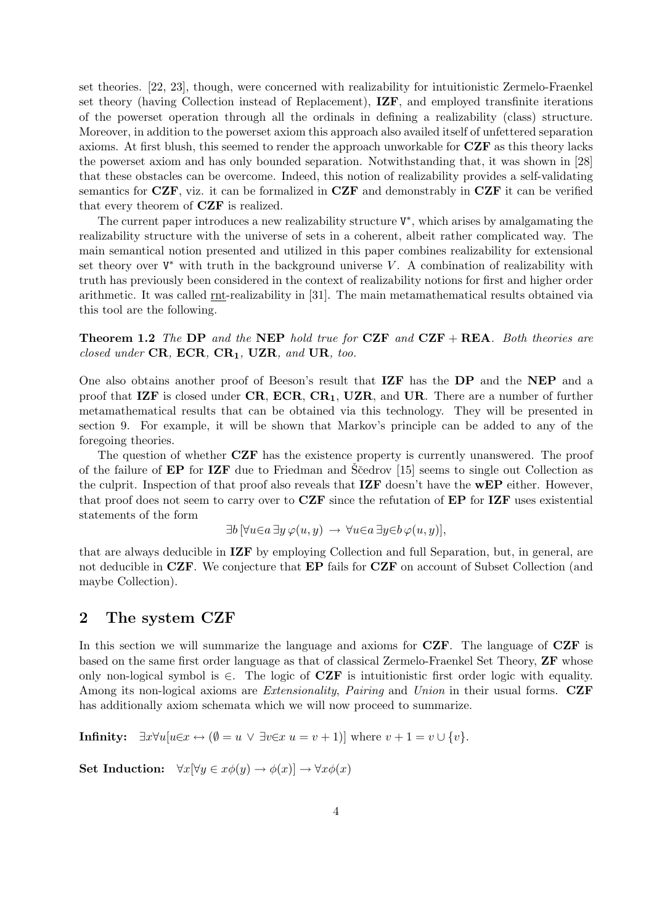set theories. [22, 23], though, were concerned with realizability for intuitionistic Zermelo-Fraenkel set theory (having Collection instead of Replacement), IZF, and employed transfinite iterations of the powerset operation through all the ordinals in defining a realizability (class) structure. Moreover, in addition to the powerset axiom this approach also availed itself of unfettered separation axioms. At first blush, this seemed to render the approach unworkable for CZF as this theory lacks the powerset axiom and has only bounded separation. Notwithstanding that, it was shown in [28] that these obstacles can be overcome. Indeed, this notion of realizability provides a self-validating semantics for  $CZF$ , viz. it can be formalized in  $CZF$  and demonstrably in  $CZF$  it can be verified that every theorem of CZF is realized.

The current paper introduces a new realizability structure  $V^*$ , which arises by amalgamating the realizability structure with the universe of sets in a coherent, albeit rather complicated way. The main semantical notion presented and utilized in this paper combines realizability for extensional set theory over  $V^*$  with truth in the background universe V. A combination of realizability with truth has previously been considered in the context of realizability notions for first and higher order arithmetic. It was called rnt-realizability in [31]. The main metamathematical results obtained via this tool are the following.

**Theorem 1.2** The DP and the NEP hold true for  $CZF$  and  $CZF + REA$ . Both theories are closed under  $CR$ ,  $ECR$ ,  $CR_1$ ,  $UZR$ , and  $UR$ , too.

One also obtains another proof of Beeson's result that IZF has the DP and the NEP and a proof that  $\mathbf{IZF}$  is closed under  $\mathbf{CR}, \mathbf{ECR}, \mathbf{CR}_1, \mathbf{UZR},$  and  $\mathbf{UR}$ . There are a number of further metamathematical results that can be obtained via this technology. They will be presented in section 9. For example, it will be shown that Markov's principle can be added to any of the foregoing theories.

The question of whether **CZF** has the existence property is currently unanswered. The proof of the failure of  $EP$  for IZF due to Friedman and Scedrov [15] seems to single out Collection as the culprit. Inspection of that proof also reveals that **IZF** doesn't have the **wEP** either. However, that proof does not seem to carry over to CZF since the refutation of EP for IZF uses existential statements of the form

$$
\exists b \, [\forall u \in a \, \exists y \, \varphi(u, y) \rightarrow \forall u \in a \, \exists y \in b \, \varphi(u, y)],
$$

that are always deducible in IZF by employing Collection and full Separation, but, in general, are not deducible in CZF. We conjecture that EP fails for CZF on account of Subset Collection (and maybe Collection).

### 2 The system CZF

In this section we will summarize the language and axioms for **CZF**. The language of **CZF** is based on the same first order language as that of classical Zermelo-Fraenkel Set Theory, ZF whose only non-logical symbol is  $\in$ . The logic of **CZF** is intuitionistic first order logic with equality. Among its non-logical axioms are *Extensionality*, *Pairing* and *Union* in their usual forms. CZF has additionally axiom schemata which we will now proceed to summarize.

Infinity:  $\exists x \forall u [u \in x \leftrightarrow (\emptyset = u \lor \exists v \in x u = v + 1)]$  where  $v + 1 = v \cup \{v\}.$ 

Set Induction:  $\forall x[\forall y \in x\phi(y) \rightarrow \phi(x)] \rightarrow \forall x\phi(x)$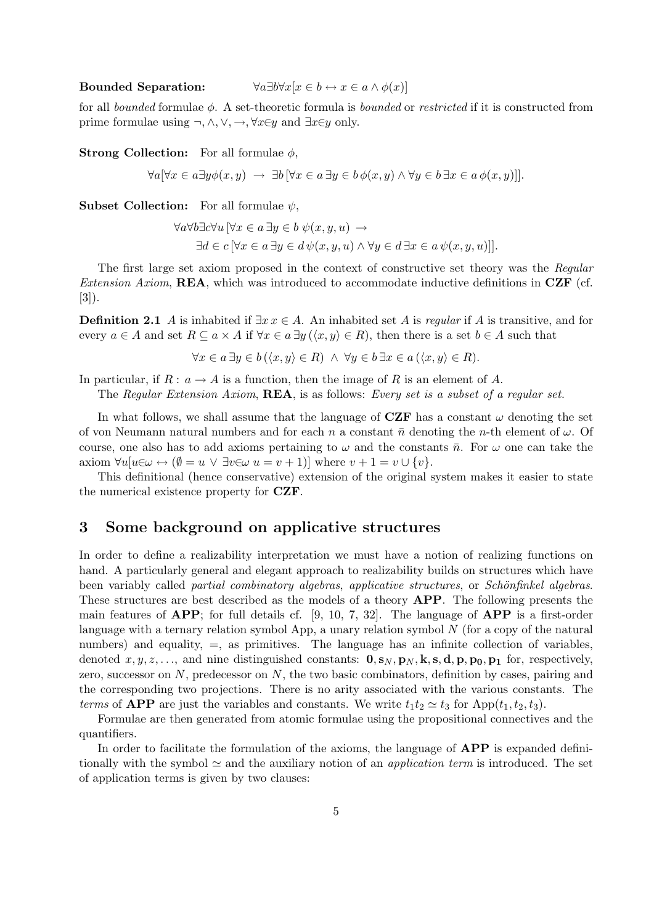#### Bounded Separation:  $\forall a \exists b \forall x [x \in b \leftrightarrow x \in a \land \phi(x)]$

for all bounded formulae  $\phi$ . A set-theoretic formula is bounded or restricted if it is constructed from prime formulae using  $\neg, \wedge, \vee, \rightarrow, \forall x \in y$  and  $\exists x \in y$  only.

**Strong Collection:** For all formulae  $\phi$ ,

 $\forall a \forall x \in a \exists y \phi(x, y) \rightarrow \exists b \forall x \in a \exists y \in b \phi(x, y) \land \forall y \in b \exists x \in a \phi(x, y)$ ].

**Subset Collection:** For all formulae  $\psi$ ,

$$
\forall a \forall b \exists c \forall u \ [\forall x \in a \ \exists y \in b \ \psi(x, y, u) \rightarrow \exists d \in c \ [\forall x \in a \ \exists y \in d \ \psi(x, y, u) \land \forall y \in d \ \exists x \in a \ \psi(x, y, u)]].
$$

The first large set axiom proposed in the context of constructive set theory was the Regular *Extension Axiom,* **REA**, which was introduced to accommodate inductive definitions in  $CZF$  (cf. [3]).

**Definition 2.1** A is inhabited if  $\exists x \in A$ . An inhabited set A is *regular* if A is transitive, and for every  $a \in A$  and set  $R \subseteq a \times A$  if  $\forall x \in a \exists y (\langle x, y \rangle \in R)$ , then there is a set  $b \in A$  such that

$$
\forall x \in a \exists y \in b (\langle x, y \rangle \in R) \land \forall y \in b \exists x \in a (\langle x, y \rangle \in R).
$$

In particular, if  $R: a \to A$  is a function, then the image of R is an element of A.

The Regular Extension Axiom, **REA**, is as follows: Every set is a subset of a regular set.

In what follows, we shall assume that the language of **CZF** has a constant  $\omega$  denoting the set of von Neumann natural numbers and for each n a constant  $\bar{n}$  denoting the n-th element of  $\omega$ . Of course, one also has to add axioms pertaining to  $\omega$  and the constants  $\bar{n}$ . For  $\omega$  one can take the axiom  $\forall u[u \in \omega \leftrightarrow (\emptyset = u \lor \exists v \in \omega u = v + 1)]$  where  $v + 1 = v \cup \{v\}.$ 

This definitional (hence conservative) extension of the original system makes it easier to state the numerical existence property for CZF.

# 3 Some background on applicative structures

In order to define a realizability interpretation we must have a notion of realizing functions on hand. A particularly general and elegant approach to realizability builds on structures which have been variably called *partial combinatory algebras*, applicative structures, or *Schönfinkel algebras*. These structures are best described as the models of a theory APP. The following presents the main features of  $\bf{APP}$ ; for full details cf. [9, 10, 7, 32]. The language of  $\bf{APP}$  is a first-order language with a ternary relation symbol App, a unary relation symbol  $N$  (for a copy of the natural numbers) and equality,  $=$ , as primitives. The language has an infinite collection of variables, denoted  $x, y, z, \ldots$ , and nine distinguished constants:  $\mathbf{0}, \mathbf{s}_N, \mathbf{p}_N, \mathbf{k}, \mathbf{s}, \mathbf{d}, \mathbf{p}, \mathbf{p}_0, \mathbf{p}_1$  for, respectively, zero, successor on  $N$ , predecessor on  $N$ , the two basic combinators, definition by cases, pairing and the corresponding two projections. There is no arity associated with the various constants. The terms of **APP** are just the variables and constants. We write  $t_1t_2 \approx t_3$  for App( $t_1, t_2, t_3$ ).

Formulae are then generated from atomic formulae using the propositional connectives and the quantifiers.

In order to facilitate the formulation of the axioms, the language of **APP** is expanded definitionally with the symbol  $\simeq$  and the auxiliary notion of an *application term* is introduced. The set of application terms is given by two clauses: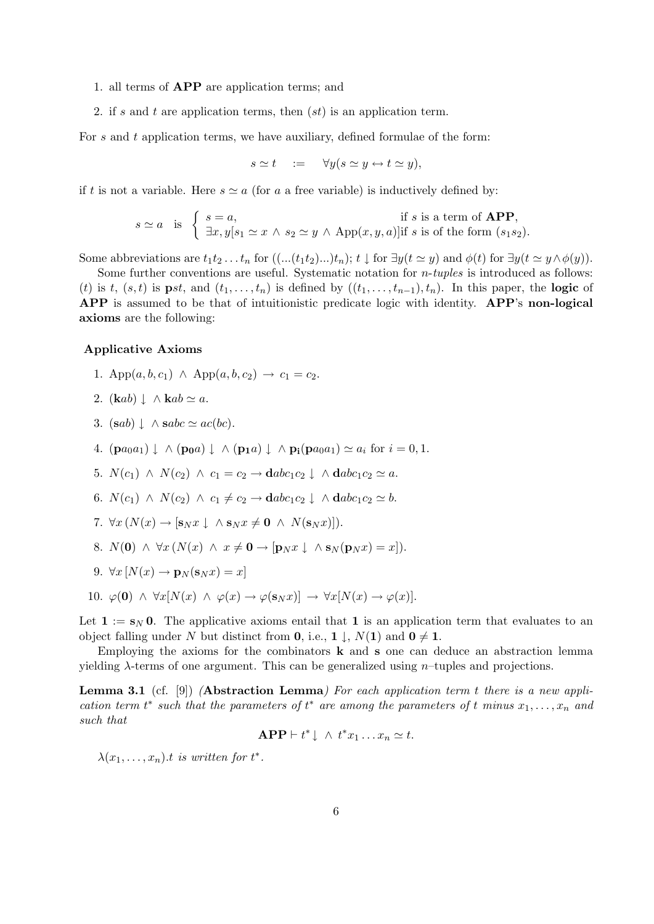#### 1. all terms of APP are application terms; and

2. if s and t are application terms, then  $(st)$  is an application term.

For  $s$  and  $t$  application terms, we have auxiliary, defined formulae of the form:

$$
s \simeq t \quad := \quad \forall y (s \simeq y \leftrightarrow t \simeq y),
$$

if t is not a variable. Here  $s \simeq a$  (for a a free variable) is inductively defined by:

$$
s \simeq a \quad \text{is} \quad \left\{ \begin{array}{l} s = a, \\ \exists x, y [s_1 \simeq x \land s_2 \simeq y \land \text{App}(x, y, a)] \text{if } s \text{ is of the form } (s_1 s_2). \end{array} \right.
$$

Some abbreviations are  $t_1t_2 \ldots t_n$  for  $((\ldots (t_1t_2) \ldots)t_n); t \downarrow$  for  $\exists y(t \simeq y)$  and  $\phi(t)$  for  $\exists y(t \simeq y \wedge \phi(y)).$ 

Some further conventions are useful. Systematic notation for n-tuples is introduced as follows: (t) is t,  $(s, t)$  is pst, and  $(t_1, \ldots, t_n)$  is defined by  $((t_1, \ldots, t_{n-1}), t_n)$ . In this paper, the logic of APP is assumed to be that of intuitionistic predicate logic with identity. APP's non-logical axioms are the following:

#### Applicative Axioms

- 1. App $(a, b, c_1) \wedge \text{App}(a, b, c_2) \rightarrow c_1 = c_2.$
- 2.  $(\mathbf{k}ab) \downarrow \wedge \mathbf{k}ab \simeq a$ .
- 3.  $(sab) \downarrow \wedge sabc \simeq ac(bc).$
- 4.  $(\mathbf{p}a_0a_1) \downarrow \wedge (\mathbf{p}_0a) \downarrow \wedge (\mathbf{p}_1a) \downarrow \wedge \mathbf{p}_i(\mathbf{p}a_0a_1) \simeq a_i$  for  $i = 0, 1$ .
- 5.  $N(c_1) \wedge N(c_2) \wedge c_1 = c_2 \rightarrow \mathbf{d}abc_1c_2 \downarrow \wedge \mathbf{d}abc_1c_2 \simeq a.$
- 6.  $N(c_1) \wedge N(c_2) \wedge c_1 \neq c_2 \rightarrow \mathbf{d}abc_1c_2 \downarrow \wedge \mathbf{d}abc_1c_2 \simeq b.$
- 7.  $\forall x (N(x) \rightarrow [\mathbf{s}_N x] \land \mathbf{s}_N x \neq \mathbf{0} \land N(\mathbf{s}_N x)].$
- 8.  $N(\mathbf{0}) \wedge \forall x (N(x) \wedge x \neq \mathbf{0} \rightarrow [\mathbf{p}_N x] \wedge \mathbf{s}_N(\mathbf{p}_N x) = x].$
- 9.  $\forall x [N(x) \rightarrow p_N(s_N x) = x]$
- 10.  $\varphi(\mathbf{0}) \wedge \forall x [N(x) \wedge \varphi(x) \rightarrow \varphi(\mathbf{s}_N x)] \rightarrow \forall x [N(x) \rightarrow \varphi(x)].$

Let  $\mathbf{1} := \mathbf{s}_N \mathbf{0}$ . The applicative axioms entail that  $\mathbf{1}$  is an application term that evaluates to an object falling under N but distinct from **0**, i.e., **1**  $\downarrow$ ,  $N(1)$  and  $0 \neq 1$ .

Employing the axioms for the combinators  $\bf{k}$  and  $\bf{s}$  one can deduce an abstraction lemma yielding  $\lambda$ -terms of one argument. This can be generalized using *n*-tuples and projections.

**Lemma 3.1** (cf. [9]) (**Abstraction Lemma**) For each application term t there is a new application term  $t^*$  such that the parameters of  $t^*$  are among the parameters of t minus  $x_1, \ldots, x_n$  and such that

$$
APP \vdash t^* \downarrow \ \wedge \ t^*x_1 \ldots x_n \simeq t.
$$

 $\lambda(x_1,\ldots,x_n).$ t is written for  $t^*$ .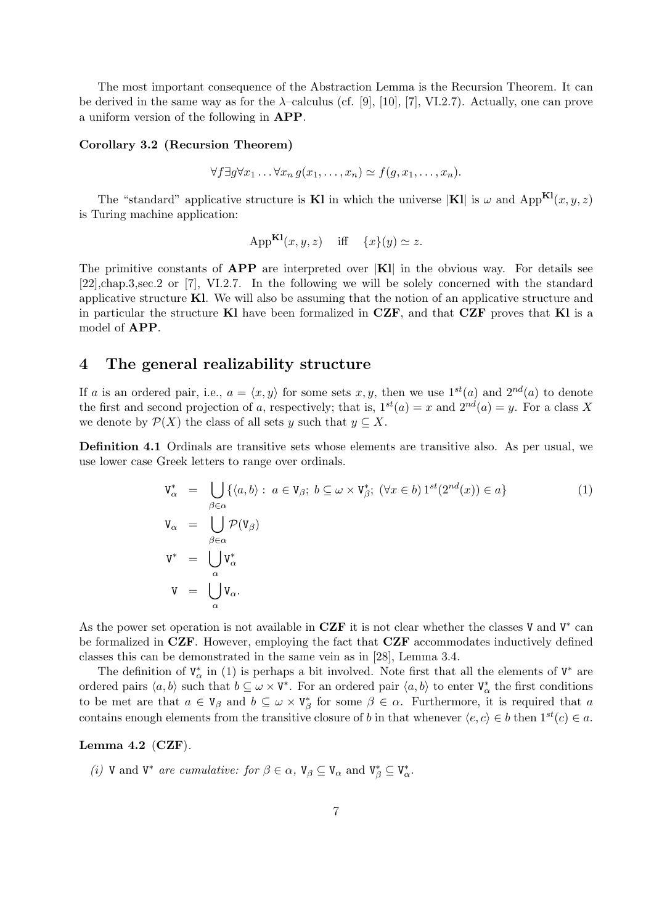The most important consequence of the Abstraction Lemma is the Recursion Theorem. It can be derived in the same way as for the  $\lambda$ -calculus (cf. [9], [10], [7], VI.2.7). Actually, one can prove a uniform version of the following in APP.

#### Corollary 3.2 (Recursion Theorem)

$$
\forall f \exists g \forall x_1 \ldots \forall x_n \, g(x_1, \ldots, x_n) \simeq f(g, x_1, \ldots, x_n).
$$

The "standard" applicative structure is **Kl** in which the universe  $|K|$  is  $\omega$  and  $App^{Kl}(x, y, z)$ is Turing machine application:

$$
App^{\mathbf{Kl}}(x, y, z) \quad \text{iff} \quad \{x\}(y) \simeq z.
$$

The primitive constants of  $APP$  are interpreted over  $|KI|$  in the obvious way. For details see [22],chap.3,sec.2 or [7], VI.2.7. In the following we will be solely concerned with the standard applicative structure Kl. We will also be assuming that the notion of an applicative structure and in particular the structure Kl have been formalized in  $CZF$ , and that  $CZF$  proves that Kl is a model of APP.

### 4 The general realizability structure

If a is an ordered pair, i.e.,  $a = \langle x, y \rangle$  for some sets x, y, then we use  $1^{st}(a)$  and  $2^{nd}(a)$  to denote the first and second projection of a, respectively; that is,  $1^{st}(a) = x$  and  $2^{nd}(a) = y$ . For a class X we denote by  $\mathcal{P}(X)$  the class of all sets y such that  $y \subseteq X$ .

Definition 4.1 Ordinals are transitive sets whose elements are transitive also. As per usual, we use lower case Greek letters to range over ordinals.

$$
V_{\alpha}^{*} = \bigcup_{\beta \in \alpha} \{ \langle a, b \rangle : a \in V_{\beta}; b \subseteq \omega \times V_{\beta}^{*}; (\forall x \in b) 1^{st}(2^{nd}(x)) \in a \}
$$
  
\n
$$
V_{\alpha} = \bigcup_{\beta \in \alpha} \mathcal{P}(V_{\beta})
$$
  
\n
$$
V^{*} = \bigcup_{\alpha} V_{\alpha}^{*}
$$
  
\n
$$
V = \bigcup_{\alpha} V_{\alpha}.
$$
  
\n(1)

As the power set operation is not available in CZF it is not clear whether the classes V and  $V^*$  can be formalized in CZF. However, employing the fact that CZF accommodates inductively defined classes this can be demonstrated in the same vein as in [28], Lemma 3.4.

The definition of  $V^*_{\alpha}$  in (1) is perhaps a bit involved. Note first that all the elements of  $V^*$  are ordered pairs  $\langle a, b \rangle$  such that  $b \subseteq \omega \times V^*$ . For an ordered pair  $\langle a, b \rangle$  to enter  $V^*_{\alpha}$  the first conditions to be met are that  $a \in V_\beta$  and  $b \subseteq \omega \times V_\beta^*$  for some  $\beta \in \alpha$ . Furthermore, it is required that a contains enough elements from the transitive closure of b in that whenever  $\langle e, c \rangle \in b$  then  $1^{st}(c) \in a$ .

#### Lemma 4.2  $(CZF)$ .

(i) V and  $V^*$  are cumulative: for  $\beta \in \alpha$ ,  $V_{\beta} \subseteq V_{\alpha}$  and  $V_{\beta}^* \subseteq V_{\alpha}^*$ .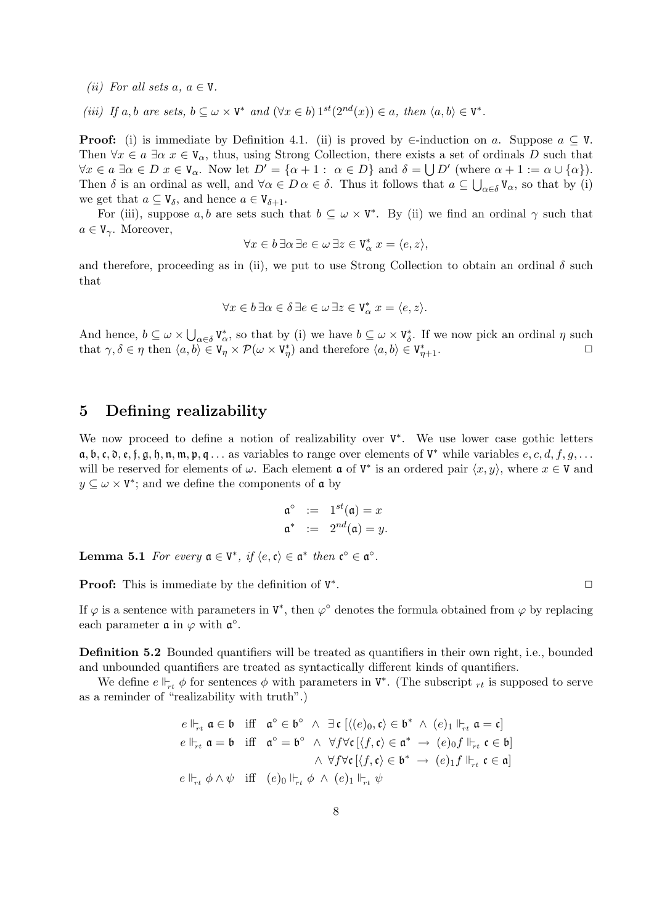(*ii*) For all sets  $a, a \in V$ .

(iii) If a, b are sets,  $b \subseteq \omega \times V^*$  and  $(\forall x \in b) 1^{st}(2^{nd}(x)) \in a$ , then  $\langle a, b \rangle \in V^*$ .

**Proof:** (i) is immediate by Definition 4.1. (ii) is proved by  $\in$ -induction on a. Suppose  $a \subseteq V$ . Then  $\forall x \in a \exists \alpha \ x \in V_\alpha$ , thus, using Strong Collection, there exists a set of ordinals D such that  $\forall x \in a \exists \alpha \in D \ x \in V_\alpha$ . Now let  $D' = {\alpha + 1 : \alpha \in D}$  and  $\delta = \bigcup D'$  (where  $\alpha + 1 := \alpha \cup {\alpha}$ ). Then  $\delta$  is an ordinal as well, and  $\forall \alpha \in D \, \alpha \in \delta$ . Thus it follows that  $a \subseteq \bigcup_{\alpha \in \delta} V_{\alpha}$ , so that by (i) we get that  $a \subseteq V_{\delta}$ , and hence  $a \in V_{\delta+1}$ .

For (iii), suppose a, b are sets such that  $b \subseteq \omega \times V^*$ . By (ii) we find an ordinal  $\gamma$  such that  $a \in V_{\gamma}$ . Moreover,

$$
\forall x \in b \, \exists \alpha \, \exists e \in \omega \, \exists z \in \texttt{V}^*_\alpha \ x = \langle e, z \rangle,
$$

and therefore, proceeding as in (ii), we put to use Strong Collection to obtain an ordinal  $\delta$  such that

$$
\forall x \in b \, \exists \alpha \in \delta \, \exists e \in \omega \, \exists z \in \mathbf{V}_{\alpha}^* \, x = \langle e, z \rangle.
$$

And hence,  $b \subseteq \omega \times \bigcup_{\alpha \in \delta} V^*_{\alpha}$ , so that by (i) we have  $b \subseteq \omega \times V^*_{\delta}$ . If we now pick an ordinal  $\eta$  such that  $\gamma, \delta \in \eta$  then  $\langle a, b \rangle \in V_{\eta} \times \mathcal{P}(\omega \times V_{\eta}^*)$  and therefore  $\langle a, b \rangle \in V_{\eta+1}^*$ .

# 5 Defining realizability

We now proceed to define a notion of realizability over V<sup>\*</sup>. We use lower case gothic letters  $a, b, c, \mathfrak{d}, \varepsilon, \mathfrak{f}, \mathfrak{g}, \mathfrak{h}, \mathfrak{n}, \mathfrak{m}, \mathfrak{p}, \mathfrak{q} \ldots$  as variables to range over elements of  $V^*$  while variables  $e, c, d, f, g, \ldots$ will be reserved for elements of  $\omega$ . Each element **a** of  $V^*$  is an ordered pair  $\langle x, y \rangle$ , where  $x \in V$  and  $y \subseteq \omega \times V^*$ ; and we define the components of  $\mathfrak a$  by

$$
\begin{array}{rcl}\n\mathfrak{a}^{\circ} & := & 1^{st}(\mathfrak{a}) = x \\
\mathfrak{a}^* & := & 2^{nd}(\mathfrak{a}) = y.\n\end{array}
$$

**Lemma 5.1** For every  $a \in V^*$ , if  $\langle e, \mathfrak{c} \rangle \in \mathfrak{a}^*$  then  $\mathfrak{c}^{\circ} \in \mathfrak{a}^{\circ}$ .

**Proof:** This is immediate by the definition of  $V^*$ 

If  $\varphi$  is a sentence with parameters in  $V^*$ , then  $\varphi^{\circ}$  denotes the formula obtained from  $\varphi$  by replacing each parameter  $\mathfrak a$  in  $\varphi$  with  $\mathfrak a^\circ$ .

Definition 5.2 Bounded quantifiers will be treated as quantifiers in their own right, i.e., bounded and unbounded quantifiers are treated as syntactically different kinds of quantifiers.

We define  $e \Vdash_{rt} \phi$  for sentences  $\phi$  with parameters in  $V^*$ . (The subscript  $_{rt}$  is supposed to serve as a reminder of "realizability with truth".)

$$
e \Vdash_{rt} \mathfrak{a} \in \mathfrak{b} \quad \text{iff} \quad \mathfrak{a}^{\circ} \in \mathfrak{b}^{\circ} \ \wedge \ \exists \mathfrak{c} \ [\langle (e)_0, \mathfrak{c} \rangle \in \mathfrak{b}^* \ \wedge \ (e)_1 \Vdash_{rt} \mathfrak{a} = \mathfrak{c}]
$$
  
\n
$$
e \Vdash_{rt} \mathfrak{a} = \mathfrak{b} \quad \text{iff} \quad \mathfrak{a}^{\circ} = \mathfrak{b}^{\circ} \ \wedge \ \forall f \forall \mathfrak{c} \ [\langle f, \mathfrak{c} \rangle \in \mathfrak{a}^* \ \rightarrow \ (e)_0 f \Vdash_{rt} \mathfrak{c} \in \mathfrak{b}]
$$
  
\n
$$
\wedge \ \forall f \forall \mathfrak{c} \ [\langle f, \mathfrak{c} \rangle \in \mathfrak{b}^* \ \rightarrow \ (e)_1 f \Vdash_{rt} \mathfrak{c} \in \mathfrak{a}]
$$
  
\n
$$
e \Vdash_{rt} \phi \wedge \psi \quad \text{iff} \quad (e)_0 \Vdash_{rt} \phi \ \wedge \ (e)_1 \Vdash_{rt} \psi
$$

. The contract of the contract of  $\Box$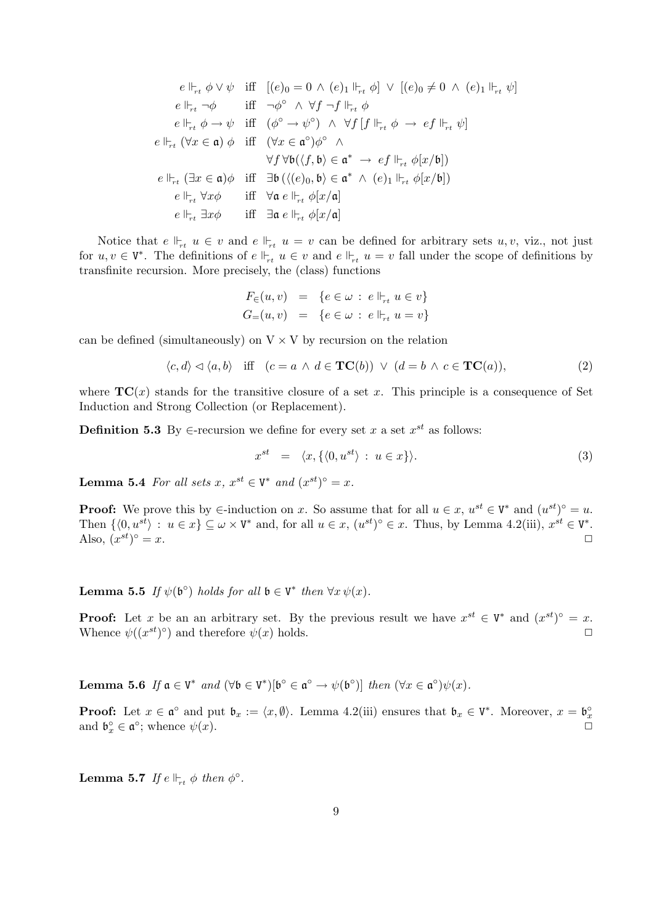$$
e \Vdash_{rt} \phi \vee \psi \quad \text{iff} \quad [(e)_0 = 0 \wedge (e)_1 \Vdash_{rt} \phi] \vee [(e)_0 \neq 0 \wedge (e)_1 \Vdash_{rt} \psi]
$$
\n
$$
e \Vdash_{rt} \neg \phi \quad \text{iff} \quad \neg \phi^\circ \wedge \forall f \neg f \Vdash_{rt} \phi
$$
\n
$$
e \Vdash_{rt} \phi \rightarrow \psi \quad \text{iff} \quad (\phi^\circ \rightarrow \psi^\circ) \wedge \forall f [f \Vdash_{rt} \phi \rightarrow ef \Vdash_{rt} \psi]
$$
\n
$$
e \Vdash_{rt} (\forall x \in \mathfrak{a}) \phi \quad \text{iff} \quad (\forall x \in \mathfrak{a}^\circ) \phi^\circ \wedge
$$
\n
$$
\forall f \forall \mathfrak{b} (\langle f, \mathfrak{b} \rangle \in \mathfrak{a}^* \rightarrow ef \Vdash_{rt} \phi[x/\mathfrak{b}])
$$
\n
$$
e \Vdash_{rt} (\exists x \in \mathfrak{a}) \phi \quad \text{iff} \quad \exists \mathfrak{b} (\langle (e)_0, \mathfrak{b} \rangle \in \mathfrak{a}^* \wedge (e)_1 \Vdash_{rt} \phi[x/\mathfrak{b}])
$$
\n
$$
e \Vdash_{rt} \forall x \phi \quad \text{iff} \quad \forall a \in \Vdash_{rt} \phi[x/\mathfrak{a}]
$$
\n
$$
e \Vdash_{rt} \exists x \phi \quad \text{iff} \quad \exists \mathfrak{a} \in \Vdash_{rt} \phi[x/\mathfrak{a}]
$$

Notice that  $e \Vdash_{rt} u \in v$  and  $e \Vdash_{rt} u = v$  can be defined for arbitrary sets  $u, v$ , viz., not just for  $u, v \in V^*$ . The definitions of  $e \Vdash_{rt} u \in v$  and  $e \Vdash_{rt} u = v$  fall under the scope of definitions by transfinite recursion. More precisely, the (class) functions

$$
F_{\in}(u, v) = \{e \in \omega : e \Vdash_{rt} u \in v\}
$$
  

$$
G_{=}(u, v) = \{e \in \omega : e \Vdash_{rt} u = v\}
$$

can be defined (simultaneously) on  $V \times V$  by recursion on the relation

$$
\langle c, d \rangle \lhd \langle a, b \rangle \quad \text{iff} \quad (c = a \land d \in \mathbf{TC}(b)) \lor (d = b \land c \in \mathbf{TC}(a)), \tag{2}
$$

where  $TC(x)$  stands for the transitive closure of a set x. This principle is a consequence of Set Induction and Strong Collection (or Replacement).

**Definition 5.3** By  $\in$ -recursion we define for every set x a set  $x^{st}$  as follows:

$$
x^{st} = \langle x, \{ \langle 0, u^{st} \rangle : u \in x \} \rangle. \tag{3}
$$

**Lemma 5.4** For all sets x,  $x^{st} \in V^*$  and  $(x^{st})^{\circ} = x$ .

**Proof:** We prove this by  $\in$ -induction on x. So assume that for all  $u \in x$ ,  $u^{st} \in V^*$  and  $(u^{st})^{\circ} = u$ . Then  $\{\langle 0, u^{st} \rangle : u \in x\} \subseteq \omega \times V^*$  and, for all  $u \in x$ ,  $(u^{st})^{\circ} \in x$ . Thus, by Lemma 4.2(iii),  $x^{st} \in V^*$ . Also,  $(x^{st})$  $\circ = x.$ 

**Lemma 5.5** If  $\psi(\mathfrak{b}^{\circ})$  holds for all  $\mathfrak{b} \in V^*$  then  $\forall x \psi(x)$ .

**Proof:** Let x be an an arbitrary set. By the previous result we have  $x^{st} \in V^*$  and  $(x^{st})^{\circ} = x$ . Whence  $\psi((x^{st})^{\circ})$  and therefore  $\psi(x)$  holds.

**Lemma 5.6** If  $\mathfrak{a} \in V^*$  and  $(\forall \mathfrak{b} \in V^*)[\mathfrak{b}^\circ \in \mathfrak{a}^\circ \to \psi(\mathfrak{b}^\circ)]$  then  $(\forall x \in \mathfrak{a}^\circ)\psi(x)$ .

**Proof:** Let  $x \in \mathfrak{a}^{\circ}$  and put  $\mathfrak{b}_x := \langle x, \emptyset \rangle$ . Lemma 4.2(iii) ensures that  $\mathfrak{b}_x \in V^*$ . Moreover,  $x = \mathfrak{b}_x^{\circ}$ and  $\mathfrak{b}_x^{\circ} \in \mathfrak{a}^{\circ}$ ; whence  $\psi(x)$ .

**Lemma 5.7** If  $e \Vdash_{rt} \phi$  then  $\phi^{\circ}$ .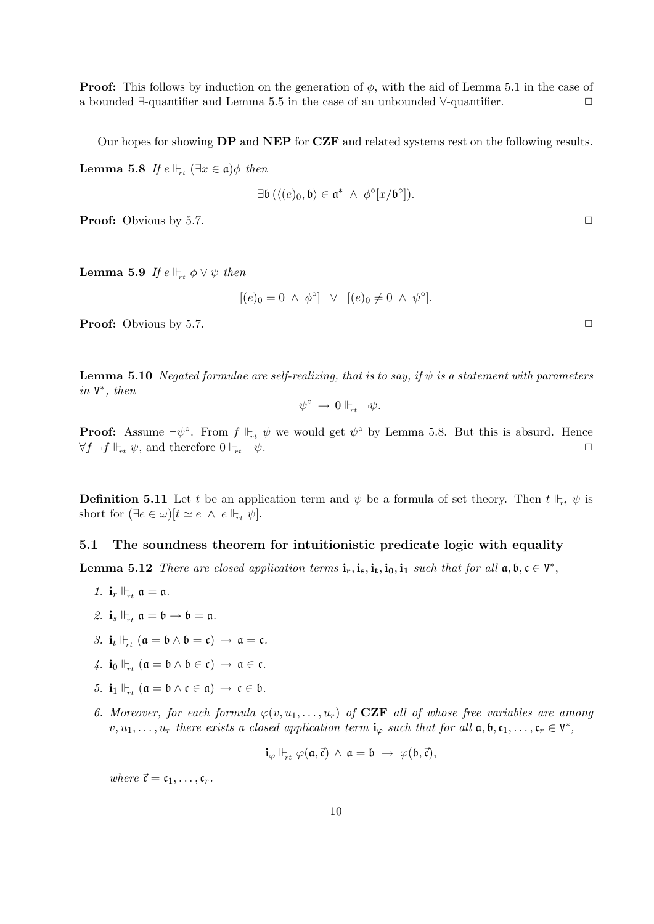**Proof:** This follows by induction on the generation of  $\phi$ , with the aid of Lemma 5.1 in the case of a bounded  $\exists$ -quantifier and Lemma 5.5 in the case of an unbounded  $\forall$ -quantifier.  $\Box$ 

Our hopes for showing DP and NEP for CZF and related systems rest on the following results.

**Lemma 5.8** If  $e \Vdash_{rt} (\exists x \in \mathfrak{a}) \phi$  then

$$
\exists \mathfrak{b}\left(\langle (e)_0,\mathfrak{b}\rangle \in \mathfrak{a}^*~\wedge~\phi^{\circ}[x/\mathfrak{b}^{\circ}]\right).
$$

**Proof:** Obvious by 5.7. ◯

**Lemma 5.9** If  $e \Vdash_{rt} \phi \vee \psi$  then

$$
[(e)_0 = 0 \ \wedge \ \phi^\circ] \ \vee \ [ (e)_0 \neq 0 \ \wedge \ \psi^\circ].
$$

**Proof:** Obvious by 5.7. ◯

**Lemma 5.10** Negated formulae are self-realizing, that is to say, if  $\psi$  is a statement with parameters in V ∗ , then

$$
\neg \psi^{\circ} \to 0 \Vdash_{rt} \neg \psi.
$$

**Proof:** Assume  $\neg \psi^{\circ}$ . From  $f \Vdash_{rt} \psi$  we would get  $\psi^{\circ}$  by Lemma 5.8. But this is absurd. Hence  $\forall f \neg f \Vdash_{rt} \psi$ , and therefore  $0 \Vdash_{rt} \neg \psi$ .

**Definition 5.11** Let t be an application term and  $\psi$  be a formula of set theory. Then  $t \Vdash_{rt} \psi$  is short for  $(\exists e \in \omega)[t \simeq e \land e \Vdash_{rt} \psi].$ 

### 5.1 The soundness theorem for intuitionistic predicate logic with equality

**Lemma 5.12** There are closed application terms  $\mathbf{i}_r, \mathbf{i}_s, \mathbf{i}_t, \mathbf{i}_0, \mathbf{i}_1$  such that for all  $\mathfrak{a}, \mathfrak{b}, \mathfrak{c} \in V^*$ ,

- 1.  $\mathbf{i}_r \Vdash_{rt} \mathfrak{a} = \mathfrak{a}$ .
- 2.  $\mathbf{i}_s \Vdash_{rt} \mathfrak{a} = \mathfrak{b} \to \mathfrak{b} = \mathfrak{a}.$
- 3.  $\mathbf{i}_t \Vdash_{rt} (\mathfrak{a} = \mathfrak{b} \wedge \mathfrak{b} = \mathfrak{c}) \rightarrow \mathfrak{a} = \mathfrak{c}.$
- 4.  $i_0 \Vdash_{rt} (\mathfrak{a} = \mathfrak{b} \wedge \mathfrak{b} \in \mathfrak{c}) \rightarrow \mathfrak{a} \in \mathfrak{c}.$
- 5.  $\mathbf{i}_1 \Vdash_{rt} (\mathfrak{a} = \mathfrak{b} \wedge \mathfrak{c} \in \mathfrak{a}) \rightarrow \mathfrak{c} \in \mathfrak{b}.$
- 6. Moreover, for each formula  $\varphi(v, u_1, \ldots, u_r)$  of **CZF** all of whose free variables are among  $v, u_1, \ldots, u_r$  there exists a closed application term  $\mathbf{i}_{\varphi}$  such that for all  $\mathfrak{a}, \mathfrak{b}, \mathfrak{c}_1, \ldots, \mathfrak{c}_r \in V^*$ ,

$$
\mathbf{i}_{\varphi} \Vdash_{\!\!\!\! \scriptscriptstyle r t} \varphi(\mathfrak{a},\vec{\mathfrak{c}}) \,\wedge\, \mathfrak{a} = \mathfrak{b} \,\rightarrow\, \varphi(\mathfrak{b},\vec{\mathfrak{c}}),
$$

where  $\vec{\mathfrak{c}} = \mathfrak{c}_1, \ldots, \mathfrak{c}_r$ .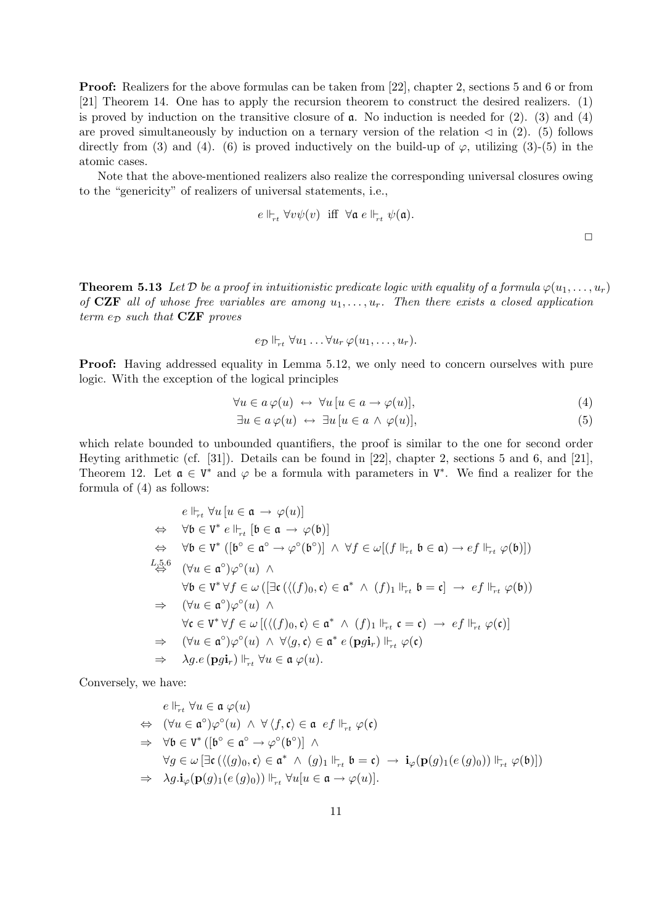Proof: Realizers for the above formulas can be taken from [22], chapter 2, sections 5 and 6 or from [21] Theorem 14. One has to apply the recursion theorem to construct the desired realizers. (1) is proved by induction on the transitive closure of  $\alpha$ . No induction is needed for (2). (3) and (4) are proved simultaneously by induction on a ternary version of the relation  $\leq$  in (2). (5) follows directly from (3) and (4). (6) is proved inductively on the build-up of  $\varphi$ , utilizing (3)-(5) in the atomic cases.

Note that the above-mentioned realizers also realize the corresponding universal closures owing to the "genericity" of realizers of universal statements, i.e.,

$$
e\Vdash_{rt} \forall v \psi(v) \ \ \text{iff} \ \ \forall \mathfrak{a} \ e\Vdash_{rt} \psi(\mathfrak{a}).
$$

 $\Box$ 

**Theorem 5.13** Let D be a proof in intuitionistic predicate logic with equality of a formula  $\varphi(u_1, \ldots, u_r)$ of CZF all of whose free variables are among  $u_1, \ldots, u_r$ . Then there exists a closed application term  $e_{\mathcal{D}}$  such that **CZF** proves

$$
e_{\mathcal{D}} \Vdash_{rt} \forall u_1 \ldots \forall u_r \, \varphi(u_1, \ldots, u_r).
$$

Proof: Having addressed equality in Lemma 5.12, we only need to concern ourselves with pure logic. With the exception of the logical principles

$$
\forall u \in a \varphi(u) \leftrightarrow \forall u \left[ u \in a \to \varphi(u) \right],\tag{4}
$$

$$
\exists u \in a \, \varphi(u) \leftrightarrow \exists u \, [u \in a \land \varphi(u)], \tag{5}
$$

which relate bounded to unbounded quantifiers, the proof is similar to the one for second order Heyting arithmetic (cf. [31]). Details can be found in [22], chapter 2, sections 5 and 6, and [21], Theorem 12. Let  $\mathfrak{a} \in V^*$  and  $\varphi$  be a formula with parameters in  $V^*$ . We find a realizer for the formula of (4) as follows:

$$
e \Vdash_{rt} \forall u \left[ u \in \mathfrak{a} \rightarrow \varphi(u) \right]
$$
  
\n
$$
\Leftrightarrow \forall \mathfrak{b} \in V^* e \Vdash_{rt} [\mathfrak{b} \in \mathfrak{a} \rightarrow \varphi(\mathfrak{b})]
$$
  
\n
$$
\Leftrightarrow \forall \mathfrak{b} \in V^* ([\mathfrak{b} \circ \mathfrak{c} \circ \rightarrow \varphi \circ (\mathfrak{b} \circ \mathfrak{c}) \land \forall f \in \omega[(f \Vdash_{rt} \mathfrak{b} \in \mathfrak{a}) \rightarrow ef \Vdash_{rt} \varphi(\mathfrak{b})])
$$
  
\n
$$
L_{25.6}^{5.6} (\forall u \in \mathfrak{a} \circ \varphi \circ (u) \land
$$
  
\n
$$
\forall \mathfrak{b} \in V^* \forall f \in \omega ([\exists \mathfrak{c}(\langle (f)_{0}, \mathfrak{c} \rangle \in \mathfrak{a}^* \land (f)_{1} \Vdash_{rt} \mathfrak{b} = \mathfrak{c}] \rightarrow ef \Vdash_{rt} \varphi(\mathfrak{b}))
$$
  
\n
$$
\Rightarrow (\forall u \in \mathfrak{a} \circ \varphi \circ (u) \land
$$
  
\n
$$
\forall \mathfrak{c} \in V^* \forall f \in \omega [(\langle (f)_{0}, \mathfrak{c} \rangle \in \mathfrak{a}^* \land (f)_{1} \Vdash_{rt} \mathfrak{c} = \mathfrak{c}) \rightarrow ef \Vdash_{rt} \varphi(\mathfrak{c})]
$$
  
\n
$$
\Rightarrow (\forall u \in \mathfrak{a} \circ \varphi \circ (u) \land \forall \langle g, \mathfrak{c} \rangle \in \mathfrak{a}^* e (\mathbf{p} \mathfrak{g} \mathfrak{i}_{r}) \Vdash_{rt} \varphi(\mathfrak{c})
$$
  
\n
$$
\Rightarrow \lambda g.e (\mathbf{p} \mathfrak{g} \mathfrak{i}_{r}) \Vdash_{rt} \forall u \in \mathfrak{a} \varphi(u).
$$

Conversely, we have:

$$
e \Vdash_{rt} \forall u \in \mathfrak{a} \varphi(u)
$$
  
\n
$$
\Leftrightarrow (\forall u \in \mathfrak{a}^{\circ})\varphi^{\circ}(u) \land \forall \langle f, \mathfrak{c} \rangle \in \mathfrak{a} \text{ of } \Vdash_{rt} \varphi(\mathfrak{c})
$$
  
\n
$$
\Rightarrow \forall \mathfrak{b} \in V^* ([\mathfrak{b}^{\circ} \in \mathfrak{a}^{\circ} \to \varphi^{\circ}(\mathfrak{b}^{\circ})] \land
$$
  
\n
$$
\forall g \in \omega [\exists \mathfrak{c} (\langle (g)_{0}, \mathfrak{c} \rangle \in \mathfrak{a}^* \land (g)_{1} \Vdash_{rt} \mathfrak{b} = \mathfrak{c}) \to \mathbf{i}_{\varphi}(\mathbf{p}(g)_{1}(e(g)_{0})) \Vdash_{rt} \varphi(\mathfrak{b})])
$$
  
\n
$$
\Rightarrow \lambda g. \mathbf{i}_{\varphi}(\mathbf{p}(g)_{1}(e(g)_{0})) \Vdash_{rt} \forall u[u \in \mathfrak{a} \to \varphi(u)].
$$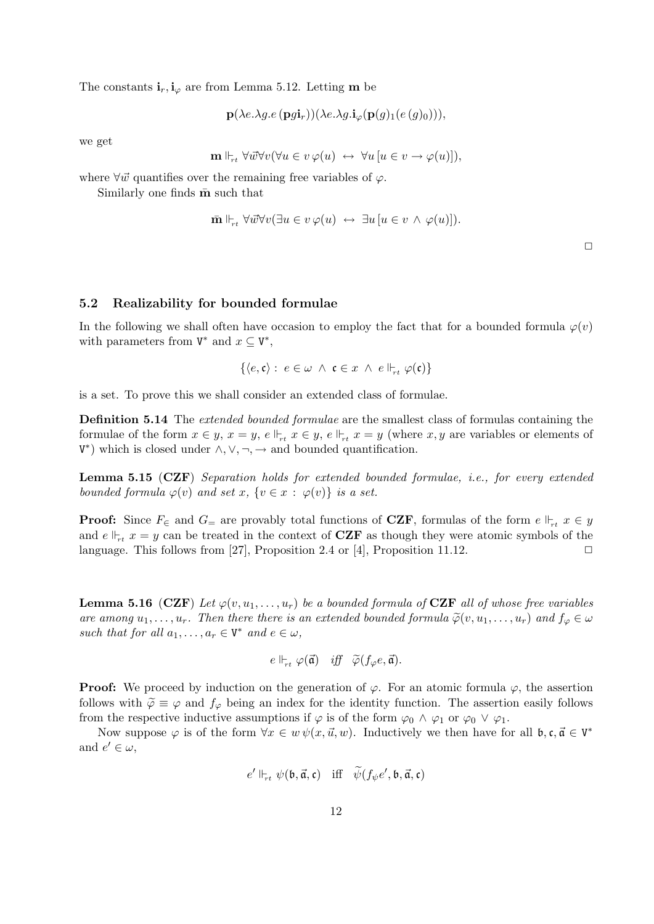The constants  $\mathbf{i}_r, \mathbf{i}_\varphi$  are from Lemma 5.12. Letting **m** be

$$
\mathbf{p}(\lambda e.\lambda g.e(\mathbf{p}g\mathbf{i}_r))(\lambda e.\lambda g.\mathbf{i}_{\varphi}(\mathbf{p}(g)_1(e(g)_0))),
$$

we get

$$
\mathbf{m} \Vdash_{rt} \forall \vec{w} \forall v (\forall u \in v \ \varphi(u) \ \leftrightarrow \ \forall u \, [u \in v \to \varphi(u)]),
$$

where  $\forall \vec{w}$  quantifies over the remaining free variables of  $\varphi$ .

Similarly one finds  $\bar{m}$  such that

$$
\overline{\mathbf{m}} \Vdash_{rt} \forall \overrightarrow{w} \forall v (\exists u \in v \ \varphi(u) \leftrightarrow \exists u \left[ u \in v \ \wedge \ \varphi(u) \right]).
$$

 $\Box$ 

#### 5.2 Realizability for bounded formulae

In the following we shall often have occasion to employ the fact that for a bounded formula  $\varphi(v)$ with parameters from  $V^*$  and  $x \subseteq V^*$ ,

$$
\{\langle e, \mathfrak{c} \rangle : e \in \omega \land \mathfrak{c} \in x \land e \Vdash_{rt} \varphi(\mathfrak{c})\}
$$

is a set. To prove this we shall consider an extended class of formulae.

Definition 5.14 The extended bounded formulae are the smallest class of formulas containing the formulae of the form  $x \in y$ ,  $x = y$ ,  $e \Vdash_{rt} x \in y$ ,  $e \Vdash_{rt} x = y$  (where x, y are variables or elements of  $V^*$ ) which is closed under  $\wedge, \vee, \neg, \rightarrow$  and bounded quantification.

Lemma 5.15 (CZF) Separation holds for extended bounded formulae, i.e., for every extended bounded formula  $\varphi(v)$  and set x,  $\{v \in x : \varphi(v)\}\$ is a set.

**Proof:** Since  $F_{\epsilon}$  and  $G_{=}$  are provably total functions of **CZF**, formulas of the form  $e \Vdash_{rt} x \in y$ and  $e \Vdash_{rt} x = y$  can be treated in the context of **CZF** as though they were atomic symbols of the language. This follows from [27], Proposition 2.4 or [4], Proposition 11.12.  $\Box$ 

**Lemma 5.16** (CZF) Let  $\varphi(v, u_1, \ldots, u_r)$  be a bounded formula of CZF all of whose free variables are among  $u_1, \ldots, u_r$ . Then there there is an extended bounded formula  $\widetilde{\varphi}(v, u_1, \ldots, u_r)$  and  $f_{\varphi} \in \omega$ such that for all  $a_1, \ldots, a_r \in V^*$  and  $e \in \omega$ ,

$$
e \Vdash_{rt} \varphi(\vec{\mathfrak{a}}) \quad \text{iff} \quad \widetilde{\varphi}(f_{\varphi}e, \vec{\mathfrak{a}}).
$$

**Proof:** We proceed by induction on the generation of  $\varphi$ . For an atomic formula  $\varphi$ , the assertion follows with  $\tilde{\varphi} \equiv \varphi$  and  $f_{\varphi}$  being an index for the identity function. The assertion easily follows from the respective inductive assumptions if  $\varphi$  is of the form  $\varphi_0 \wedge \varphi_1$  or  $\varphi_0 \vee \varphi_1$ .

Now suppose  $\varphi$  is of the form  $\forall x \in w \psi(x, \vec{u}, w)$ . Inductively we then have for all  $\mathfrak{b}, \mathfrak{c}, \vec{\mathfrak{a}} \in V^*$ and  $e' \in \omega$ ,

$$
e' \Vdash_{rt} \psi(\mathfrak{b}, \vec{\mathfrak{a}}, \mathfrak{c})
$$
 iff  $\widetilde{\psi}(f_{\psi}e', \mathfrak{b}, \vec{\mathfrak{a}}, \mathfrak{c})$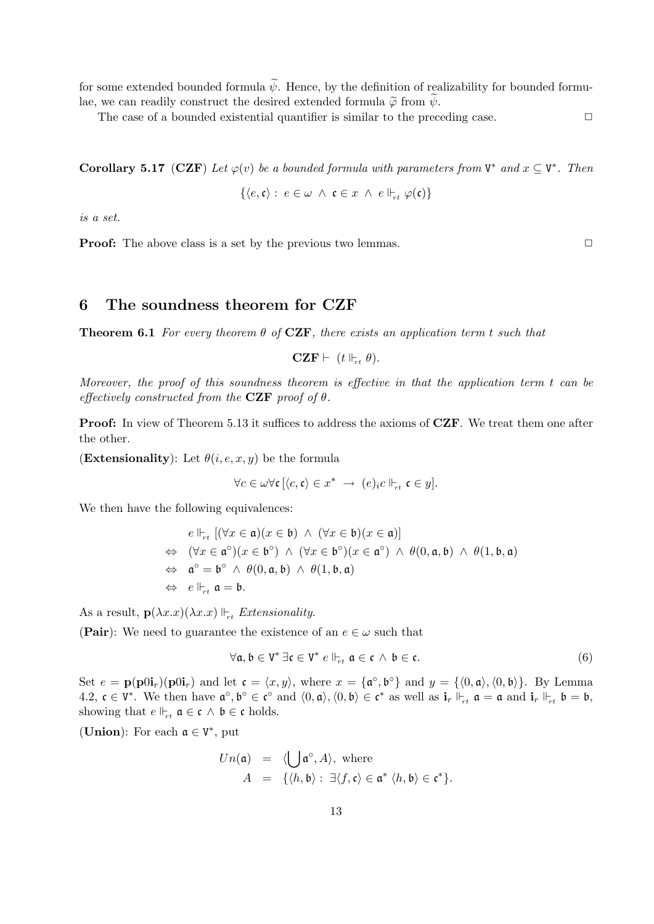for some extended bounded formula  $\tilde{\psi}$ . Hence, by the definition of realizability for bounded formulae, we can readily construct the desired extended formula  $\tilde{\varphi}$  from  $\tilde{\psi}$ .

The case of a bounded existential quantifier is similar to the preceding case.  $\Box$ 

**Corollary 5.17** (CZF) Let  $\varphi(v)$  be a bounded formula with parameters from  $V^*$  and  $x \subseteq V^*$ . Then

$$
\{\langle e, \mathfrak{c}\rangle:\ e\in\omega\;\wedge\;\mathfrak{c}\in x\;\wedge\; e\Vdash_{\!\!\!\!\!\!\!r t}\varphi(\mathfrak{c})\}
$$

is a set.

**Proof:** The above class is a set by the previous two lemmas.

# 6 The soundness theorem for CZF

**Theorem 6.1** For every theorem  $\theta$  of **CZF**, there exists an application term t such that

 $CZF \vdash (t \Vdash_{rt} \theta).$ 

Moreover, the proof of this soundness theorem is effective in that the application term  $t$  can be effectively constructed from the CZF proof of  $\theta$ .

Proof: In view of Theorem 5.13 it suffices to address the axioms of CZF. We treat them one after the other.

(Extensionality): Let  $\theta(i, e, x, y)$  be the formula

$$
\forall c \in \omega \forall \mathfrak{c} \left[ \langle c, \mathfrak{c} \rangle \in x^* \ \to \ (e)_i c \Vdash_{rt} \mathfrak{c} \in y \right].
$$

We then have the following equivalences:

$$
e \Vdash_{rt} [(\forall x \in \mathfrak{a})(x \in \mathfrak{b}) \wedge (\forall x \in \mathfrak{b})(x \in \mathfrak{a})]
$$
  
\n
$$
\Leftrightarrow (\forall x \in \mathfrak{a}^{\circ})(x \in \mathfrak{b}^{\circ}) \wedge (\forall x \in \mathfrak{b}^{\circ})(x \in \mathfrak{a}^{\circ}) \wedge \theta(0, \mathfrak{a}, \mathfrak{b}) \wedge \theta(1, \mathfrak{b}, \mathfrak{a})
$$
  
\n
$$
\Leftrightarrow \mathfrak{a}^{\circ} = \mathfrak{b}^{\circ} \wedge \theta(0, \mathfrak{a}, \mathfrak{b}) \wedge \theta(1, \mathfrak{b}, \mathfrak{a})
$$
  
\n
$$
\Leftrightarrow e \Vdash_{rt} \mathfrak{a} = \mathfrak{b}.
$$

As a result,  $\mathbf{p}(\lambda x.x)(\lambda x.x) \Vdash_{rt} Extensionality$ .

(Pair): We need to guarantee the existence of an  $e \in \omega$  such that

$$
\forall \mathfrak{a}, \mathfrak{b} \in V^* \exists \mathfrak{c} \in V^* \ e \Vdash_{rt} \mathfrak{a} \in \mathfrak{c} \ \land \ \mathfrak{b} \in \mathfrak{c}.\tag{6}
$$

Set  $e = \mathbf{p}(\mathbf{p}0\mathbf{i}_r)(\mathbf{p}0\mathbf{i}_r)$  and let  $\mathfrak{c} = \langle x, y \rangle$ , where  $x = {\mathfrak{a}^\circ, \mathfrak{b}^\circ}$  and  $y = {\langle 0, \mathfrak{a} \rangle, \langle 0, \mathfrak{b} \rangle}$ . By Lemma 4.2,  $\mathfrak{c} \in V^*$ . We then have  $\mathfrak{a}^{\circ}, \mathfrak{b}^{\circ} \in \mathfrak{c}^{\circ}$  and  $\langle 0, \mathfrak{a} \rangle, \langle 0, \mathfrak{b} \rangle \in \mathfrak{c}^*$  as well as  $\mathbf{i}_r \Vdash_{rt} \mathfrak{a} = \mathfrak{a}$  and  $\mathbf{i}_r \Vdash_{rt} \mathfrak{b} = \mathfrak{b}$ , showing that  $e \Vdash_{rt} \mathfrak{a} \in \mathfrak{c} \wedge \mathfrak{b} \in \mathfrak{c}$  holds.

(Union): For each  $\mathfrak{a} \in V^*$ , put

$$
Un(\mathfrak{a}) = \langle \bigcup \mathfrak{a}^{\circ}, A \rangle, \text{ where}
$$
  

$$
A = \{ \langle h, \mathfrak{b} \rangle : \exists \langle f, \mathfrak{c} \rangle \in \mathfrak{a}^* \langle h, \mathfrak{b} \rangle \in \mathfrak{c}^* \}.
$$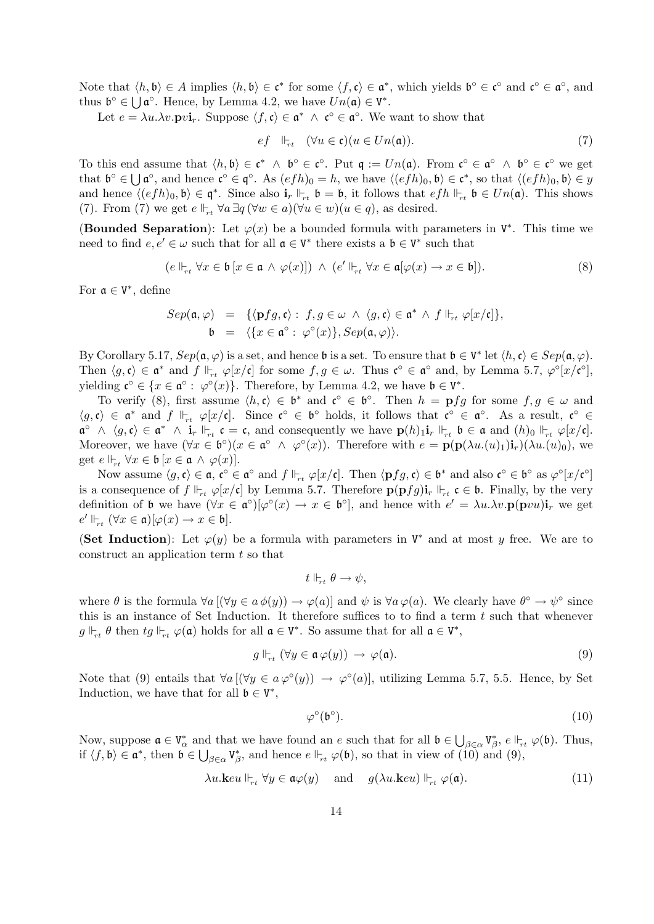Note that  $\langle h, \mathfrak{b} \rangle \in A$  implies  $\langle h, \mathfrak{b} \rangle \in \mathfrak{c}^*$  for some  $\langle f, \mathfrak{c} \rangle \in \mathfrak{a}^*$ , which yields  $\mathfrak{b}^\circ \in \mathfrak{c}^\circ$  and  $\mathfrak{c}^\circ \in \mathfrak{a}^\circ$ , and thus  $\mathfrak{b}^{\circ} \in \bigcup \mathfrak{a}^{\circ}$ . Hence, by Lemma 4.2, we have  $Un(\mathfrak{a}) \in V^*$ .

Let  $e = \lambda u \cdot \lambda v \cdot \mathbf{p} v \mathbf{i}_r$ . Suppose  $\langle f, \mathfrak{c} \rangle \in \mathfrak{a}^* \wedge \mathfrak{c}^{\circ} \in \mathfrak{a}^{\circ}$ . We want to show that

$$
ef \Vdash_{rt} (\forall u \in \mathfrak{c})(u \in Un(\mathfrak{a})). \tag{7}
$$

To this end assume that  $\langle h, \mathfrak{b} \rangle \in \mathfrak{c}^* \land \mathfrak{b}^{\circ} \in \mathfrak{c}^{\circ}$ . Put  $\mathfrak{q} := Un(\mathfrak{a})$ . From  $\mathfrak{c}^{\circ} \in \mathfrak{a}^{\circ} \land \mathfrak{b}^{\circ} \in \mathfrak{c}^{\circ}$  we get that  $\mathfrak{b}^{\circ} \in \bigcup \mathfrak{a}^{\circ}$ , and hence  $\mathfrak{c}^{\circ} \in \mathfrak{q}^{\circ}$ . As  $(efh)_{0} = h$ , we have  $\langle (efh)_{0}, \mathfrak{b} \rangle \in \mathfrak{c}^{*}$ , so that  $\langle (efh)_{0}, \mathfrak{b} \rangle \in y$ and hence  $\langle (efh)_0, \mathfrak{b} \rangle \in \mathfrak{q}^*$ . Since also  $\mathbf{i}_r \Vdash_{rt} \mathfrak{b} = \mathfrak{b}$ , it follows that  $efh \Vdash_{rt} \mathfrak{b} \in Un(\mathfrak{a})$ . This shows (7). From (7) we get  $e \Vdash_{rt} \forall a \exists q (\forall w \in a)(\forall u \in w)(u \in q)$ , as desired.

(Bounded Separation): Let  $\varphi(x)$  be a bounded formula with parameters in  $V^*$ . This time we need to find  $e, e' \in \omega$  such that for all  $\mathfrak{a} \in V^*$  there exists a  $\mathfrak{b} \in V^*$  such that

$$
(e \Vdash_{rt} \forall x \in \mathfrak{b} [x \in \mathfrak{a} \land \varphi(x)] ) \land (e' \Vdash_{rt} \forall x \in \mathfrak{a}[\varphi(x) \to x \in \mathfrak{b}]). \tag{8}
$$

For  $\mathfrak{a} \in V^*$ , define

$$
Sep(\mathfrak{a},\varphi) = \{ \langle \mathbf{p}fg, \mathfrak{c} \rangle : f, g \in \omega \land \langle g, \mathfrak{c} \rangle \in \mathfrak{a}^* \land f \Vdash_{rt} \varphi[x/\mathfrak{c}] \},
$$
  

$$
\mathfrak{b} = \langle \{x \in \mathfrak{a}^\circ : \varphi^\circ(x)\}, Sep(\mathfrak{a},\varphi) \rangle.
$$

By Corollary 5.17,  $Sep(\mathfrak{a}, \varphi)$  is a set, and hence  $\mathfrak{b}$  is a set. To ensure that  $\mathfrak{b} \in V^*$  let  $\langle h, \mathfrak{c} \rangle \in Sep(\mathfrak{a}, \varphi)$ . Then  $\langle g, \mathfrak{c} \rangle \in \mathfrak{a}^*$  and  $f \Vdash_{rt} \varphi[x/\mathfrak{c}]$  for some  $f, g \in \omega$ . Thus  $\mathfrak{c}^\circ \in \mathfrak{a}^\circ$  and, by Lemma 5.7,  $\varphi^\circ[x/\mathfrak{c}^\circ]$ , yielding  $\mathfrak{c}^{\circ} \in \{x \in \mathfrak{a}^{\circ} : \varphi^{\circ}(x)\}.$  Therefore, by Lemma 4.2, we have  $\mathfrak{b} \in V^*$ .

To verify (8), first assume  $\langle h, \mathfrak{c} \rangle \in \mathfrak{b}^*$  and  $\mathfrak{c}^{\circ} \in \mathfrak{b}^{\circ}$ . Then  $h = \mathbf{p} fg$  for some  $f, g \in \omega$  and  $\langle g, \mathfrak{c} \rangle \in \mathfrak{a}^*$  and  $f \Vdash_{rt} \varphi[x/\mathfrak{c}]$ . Since  $\mathfrak{c}^\circ \in \mathfrak{b}^\circ$  holds, it follows that  $\mathfrak{c}^\circ \in \mathfrak{a}^\circ$ . As a result,  $\mathfrak{c}^\circ \in \mathfrak{c}$  $\mathfrak{a}^{\circ} \wedge \langle g, \mathfrak{c} \rangle \in \mathfrak{a}^* \wedge \mathbf{i}_r \Vdash_{rt} \mathfrak{c} = \mathfrak{c},$  and consequently we have  $\mathbf{p}(h)_{1} \mathbf{i}_r \Vdash_{rt} \mathfrak{b} \in \mathfrak{a}$  and  $(h)_{0} \Vdash_{rt} \varphi[x/\mathfrak{c}]$ . Moreover, we have  $(\forall x \in \mathfrak{b}^{\circ})(x \in \mathfrak{a}^{\circ} \land \varphi^{\circ}(x))$ . Therefore with  $e = \mathbf{p}(\mathbf{p}(\lambda u \cdot (u)_1)\mathbf{i}_r)(\lambda u \cdot (u)_0)$ , we get  $e \Vdash_{rt} \forall x \in \mathfrak{b} [x \in \mathfrak{a} \land \varphi(x)].$ 

Now assume  $\langle g, \mathfrak{c} \rangle \in \mathfrak{a}, \mathfrak{c}^{\circ} \in \mathfrak{a}^{\circ}$  and  $f \Vdash_{rt} \varphi[x/\mathfrak{c}]$ . Then  $\langle \mathbf{p} fg, \mathfrak{c} \rangle \in \mathfrak{b}^*$  and also  $\mathfrak{c}^{\circ} \in \mathfrak{b}^{\circ}$  as  $\varphi^{\circ}[x/\mathfrak{c}^{\circ}]$ is a consequence of  $f \Vdash_{rt} \varphi[x/\mathfrak{c}]$  by Lemma 5.7. Therefore  $\mathbf{p}(\mathbf{p}fg)\mathbf{i}_r \Vdash_{rt} \mathfrak{c} \in \mathfrak{b}$ . Finally, by the very definition of b we have  $(\forall x \in \mathfrak{a}^{\circ})[\varphi^{\circ}(x) \to x \in \mathfrak{b}^{\circ}],$  and hence with  $e' = \lambda u.\lambda v.\mathbf{p}(\mathbf{p}vu)\mathbf{i}_r$  we get  $e' \Vdash_{rt} (\forall x \in \mathfrak{a})[\varphi(x) \to x \in \mathfrak{b}].$ 

(Set Induction): Let  $\varphi(y)$  be a formula with parameters in  $V^*$  and at most y free. We are to construct an application term t so that

$$
t\Vdash_{\!\!\!-t}\theta\to\psi,
$$

where  $\theta$  is the formula  $\forall a \left[ (\forall y \in a \phi(y)) \rightarrow \varphi(a) \right]$  and  $\psi$  is  $\forall a \varphi(a)$ . We clearly have  $\theta^{\circ} \rightarrow \psi^{\circ}$  since this is an instance of Set Induction. It therefore suffices to to find a term  $t$  such that whenever  $g \Vdash_{rt} \theta$  then  $tg \Vdash_{rt} \varphi(\mathfrak{a})$  holds for all  $\mathfrak{a} \in V^*$ . So assume that for all  $\mathfrak{a} \in V^*$ ,

$$
g \Vdash_{rt} (\forall y \in \mathfrak{a} \varphi(y)) \to \varphi(\mathfrak{a}). \tag{9}
$$

Note that (9) entails that  $\forall a \, [(\forall y \in a \, \varphi^{\circ}(y)) \rightarrow \varphi^{\circ}(a)],$  utilizing Lemma 5.7, 5.5. Hence, by Set Induction, we have that for all  $\mathfrak{b} \in V^*$ ,

$$
\varphi^{\circ}(\mathfrak{b}^{\circ}).\tag{10}
$$

Now, suppose  $\mathfrak{a} \in V^*_{\alpha}$  and that we have found an e such that for all  $\mathfrak{b} \in \bigcup_{\beta \in \alpha} V^*_{\beta}$ ,  $e \Vdash_{rt} \varphi(\mathfrak{b})$ . Thus, if  $\langle f, \mathfrak{b} \rangle \in \mathfrak{a}^*$ , then  $\mathfrak{b} \in \bigcup_{\beta \in \alpha} V_{\beta}^*$ , and hence  $e \Vdash_{rt} \varphi(\mathfrak{b})$ , so that in view of  $\widetilde{(10)}$  and  $(9)$ ,

$$
\lambda u.\mathbf{k}eu \Vdash_{rt} \forall y \in \mathfrak{a}\varphi(y) \quad \text{and} \quad g(\lambda u.\mathbf{k}eu) \Vdash_{rt} \varphi(\mathfrak{a}). \tag{11}
$$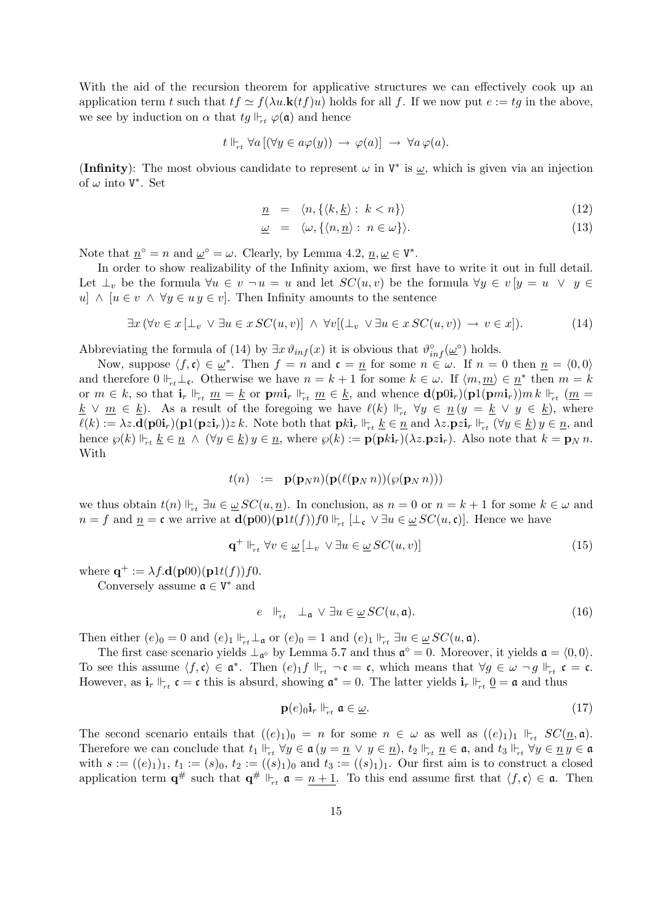With the aid of the recursion theorem for applicative structures we can effectively cook up an application term t such that  $tf \simeq f(\lambda u.\mathbf{k}(tf)u)$  holds for all f. If we now put  $e := tg$  in the above, we see by induction on  $\alpha$  that  $tg \Vdash_{rt} \varphi(\mathfrak{a})$  and hence

$$
t \Vdash_{rt} \forall a \left[ (\forall y \in a \varphi(y)) \rightarrow \varphi(a) \right] \rightarrow \forall a \varphi(a).
$$

(Infinity): The most obvious candidate to represent  $\omega$  in  $V^*$  is  $\underline{\omega}$ , which is given via an injection of  $\omega$  into  $V^*$ . Set

$$
\underline{n} = \langle n, \{ \langle k, \underline{k} \rangle : k < n \} \rangle \tag{12}
$$

$$
\underline{\omega} = \langle \omega, \{ \langle n, \underline{n} \rangle : n \in \omega \} \rangle. \tag{13}
$$

Note that  $\underline{n}^{\circ} = n$  and  $\underline{\omega}^{\circ} = \omega$ . Clearly, by Lemma 4.2,  $\underline{n}, \underline{\omega} \in V^*$ .

In order to show realizability of the Infinity axiom, we first have to write it out in full detail. Let  $\bot_v$  be the formula  $\forall u \in v \neg u = u$  and let  $SC(u, v)$  be the formula  $\forall u \in v \mid y = u \lor y \in v$ u] ∧ [ $u \in v$  ∧  $\forall y \in u$  y  $\in v$ ]. Then Infinity amounts to the sentence

$$
\exists x \, (\forall v \in x \, [\bot_v \lor \exists u \in x \, SC(u, v)] \land \forall v [(\bot_v \lor \exists u \in x \, SC(u, v)) \to v \in x]). \tag{14}
$$

Abbreviating the formula of (14) by  $\exists x \vartheta_{inf}(x)$  it is obvious that  $\vartheta_{inf}^{\circ}(\underline{\omega}^{\circ})$  holds.

Now, suppose  $\langle f, \mathfrak{c} \rangle \in \underline{\omega}^*$ . Then  $f = n$  and  $\mathfrak{c} = \underline{n}$  for some  $n \in \omega$ . If  $n = 0$  then  $\underline{n} = \langle 0, 0 \rangle$ and therefore  $0 \Vdash_{rt} \bot_{\mathfrak{c}}$ . Otherwise we have  $n = k + 1$  for some  $k \in \omega$ . If  $\langle m, \underline{m} \rangle \in \underline{n}^*$  then  $m = k$ or  $m \in k$ , so that  $\mathbf{i}_r \Vdash_{rt} \underline{m} = \underline{k}$  or  $\mathbf{p}m\mathbf{i}_r \Vdash_{rt} \underline{m} \in \underline{k}$ , and whence  $\mathbf{d}(\mathbf{p}0\mathbf{i}_r)(\mathbf{p}1(\mathbf{p}m\mathbf{i}_r))m k \Vdash_{rt} (\underline{m} =$  $\underline{k} \vee \underline{m} \in \underline{k}$ . As a result of the foregoing we have  $\ell(k) \Vdash_{rt} \forall y \in \underline{n}$   $(y = \underline{k} \vee y \in \underline{k})$ , where  $\ell(k) := \lambda z \cdot \mathbf{d}(\mathbf{p} \cdot \mathbf{0} \cdot \mathbf{i}_r) (\mathbf{p} \cdot \mathbf{1} (\mathbf{p} \cdot \mathbf{z} \cdot \mathbf{i}_r)) z \, k.$  Note both that  $\mathbf{p} k \cdot \mathbf{i}_r \Vdash_{rt} \underline{k} \in \underline{n}$  and  $\lambda z \cdot \mathbf{p} z \cdot \mathbf{i}_r \Vdash_{rt} (\forall y \in \underline{k}) y \in \underline{n}$ , and hence  $\wp(k) \Vdash_{rt} \underline{k} \in \underline{n} \wedge (\forall y \in \underline{k}) y \in \underline{n}$ , where  $\wp(k) := \mathbf{p}(\mathbf{p}k\mathbf{i}_r)(\lambda z.\mathbf{p}z\mathbf{i}_r)$ . Also note that  $k = \mathbf{p}_N n$ . With

$$
t(n) := \mathbf{p}(\mathbf{p}_N n)(\mathbf{p}(\ell(\mathbf{p}_N n))(\wp(\mathbf{p}_N n)))
$$

we thus obtain  $t(n) \Vdash_{rt} \exists u \in \underline{\omega} SC(u, \underline{n})$ . In conclusion, as  $n = 0$  or  $n = k + 1$  for some  $k \in \omega$  and  $n = f$  and  $\underline{n} = \mathfrak{c}$  we arrive at  $\mathbf{d}(\mathbf{p}00)(\mathbf{p}1t(f))f0 \Vdash_{rt} [\bot_{\mathfrak{c}} \lor \exists u \in \underline{\omega} SC(u, \mathfrak{c})]$ . Hence we have

$$
\mathbf{q}^+ \Vdash_{rt} \forall v \in \underline{\omega} \left[ \bot_v \lor \exists u \in \underline{\omega} \, SC(u, v) \right] \tag{15}
$$

where  $\mathbf{q}^+ := \lambda f \cdot \mathbf{d}(\mathbf{p}00)(\mathbf{p}1t(f))f0.$ 

Conversely assume  $\mathfrak{a} \in V^*$  and

$$
e \quad \Vdash_{rt} \quad \bot_{\mathfrak{a}} \lor \exists u \in \underline{\omega} \, SC(u, \mathfrak{a}). \tag{16}
$$

Then either  $(e)_0 = 0$  and  $(e)_1 \Vdash_{rt} \bot_{\mathfrak{a}}$  or  $(e)_0 = 1$  and  $(e)_1 \Vdash_{rt} \exists u \in \underline{\omega} SC(u, \mathfrak{a})$ .

The first case scenario yields  $\perp_{\mathfrak{a}^{\circ}}$  by Lemma 5.7 and thus  $\mathfrak{a}^{\circ} = 0$ . Moreover, it yields  $\mathfrak{a} = \langle 0, 0 \rangle$ . To see this assume  $\langle f, \mathfrak{c} \rangle \in \mathfrak{a}^*$ . Then  $(e) \_1 f \Vdash_{rt} \neg \mathfrak{c} = \mathfrak{c}$ , which means that  $\forall g \in \omega \neg g \Vdash_{rt} \mathfrak{c} = \mathfrak{c}$ . However, as  $\mathbf{i}_r \Vdash_{rt} \mathbf{c} = \mathbf{c}$  this is absurd, showing  $\mathfrak{a}^* = 0$ . The latter yields  $\mathbf{i}_r \Vdash_{rt} \underline{0} = \mathfrak{a}$  and thus

$$
\mathbf{p}(e)_{0}\mathbf{i}_{r} \Vdash_{rt} \mathfrak{a} \in \underline{\omega}.\tag{17}
$$

The second scenario entails that  $((e)_1)_0 = n$  for some  $n \in \omega$  as well as  $((e)_1)_1 \Vdash_{rt} SC(\underline{n}, \mathfrak{a})$ . Therefore we can conclude that  $t_1 \Vdash_{rt} \forall y \in \mathfrak{a}$   $(y = \underline{n} \lor y \in \underline{n})$ ,  $t_2 \Vdash_{rt} \underline{n} \in \mathfrak{a}$ , and  $t_3 \Vdash_{rt} \forall y \in \underline{n}$   $y \in \mathfrak{a}$ with  $s := ((e)_1)_1, t_1 := (s)_0, t_2 := ((s)_1)_0$  and  $t_3 := ((s)_1)_1$ . Our first aim is to construct a closed application term  $\mathbf{q}^{\#}$  such that  $\mathbf{q}^{\#} \Vdash_{rt} \mathfrak{a} = \underline{n+1}$ . To this end assume first that  $\langle f, \mathfrak{c} \rangle \in \mathfrak{a}$ . Then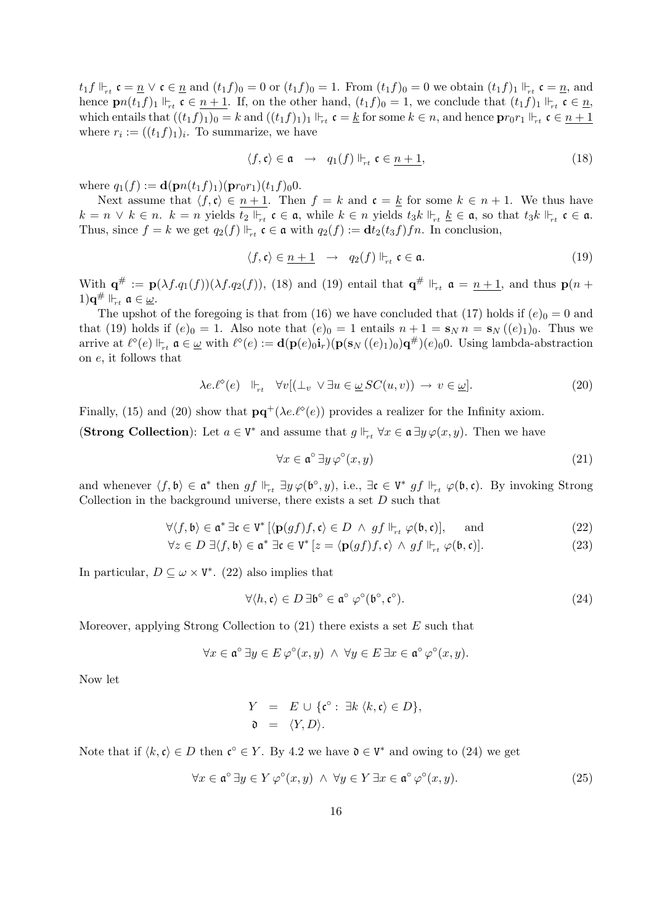$t_1 f \Vdash_{rt} \mathfrak{c} = \underline{n} \vee \mathfrak{c} \in \underline{n}$  and  $(t_1 f)_0 = 0$  or  $(t_1 f)_0 = 1$ . From  $(t_1 f)_0 = 0$  we obtain  $(t_1 f)_1 \Vdash_{rt} \mathfrak{c} = \underline{n}$ , and hence  $\mathbf{p}_n(t_1f)_1 \Vdash_{rt} \mathfrak{c} \in n+1$ . If, on the other hand,  $(t_1f)_0 = 1$ , we conclude that  $(t_1f)_1 \Vdash_{rt} \mathfrak{c} \in n$ , which entails that  $((t_1 f)_1)_0 = k$  and  $((t_1 f)_1)_1 \Vdash_{rt} \mathfrak{c} = \underline{k}$  for some  $k \in n$ , and hence  $\mathbf{p}r_0r_1 \Vdash_{rt} \mathfrak{c} \in n + 1$ where  $r_i := ((t_1 f)_1)_i$ . To summarize, we have

$$
\langle f, \mathfrak{c} \rangle \in \mathfrak{a} \quad \to \quad q_1(f) \Vdash_{rt} \mathfrak{c} \in \underline{n+1}, \tag{18}
$$

where  $q_1(f) := \mathbf{d}(\mathbf{p}n(t_1f)_1)(\mathbf{p}r_0r_1)(t_1f)_00$ .

Next assume that  $\langle f, \mathfrak{c} \rangle \in n + 1$ . Then  $f = k$  and  $\mathfrak{c} = \underline{k}$  for some  $k \in n + 1$ . We thus have  $k = n \vee k \in n$ .  $k = n$  yields  $t_2 \Vdash_{rt} \mathfrak{c} \in \mathfrak{a}$ , while  $k \in n$  yields  $t_3k \Vdash_{rt} \underline{k} \in \mathfrak{a}$ , so that  $t_3k \Vdash_{rt} \mathfrak{c} \in \mathfrak{a}$ . Thus, since  $f = k$  we get  $q_2(f) \Vdash_{rt} \mathfrak{c} \in \mathfrak{a}$  with  $q_2(f) := \mathbf{d}t_2(t_3f)fn$ . In conclusion,

$$
\langle f, \mathfrak{c} \rangle \in \underline{n+1} \quad \to \quad q_2(f) \Vdash_{rt} \mathfrak{c} \in \mathfrak{a}.\tag{19}
$$

With  $\mathbf{q}^{\#} := \mathbf{p}(\lambda f \cdot q_1(f))(\lambda f \cdot q_2(f)),$  (18) and (19) entail that  $\mathbf{q}^{\#} \Vdash_{rt} \mathfrak{a} = \underline{n+1}$ , and thus  $\mathbf{p}(n +$  $1)\mathbf{q}^{\#}\Vdash_{rt}\mathfrak{a}\in\underline{\omega}.$ 

The upshot of the foregoing is that from (16) we have concluded that (17) holds if  $(e)_0 = 0$  and that (19) holds if  $(e)_0 = 1$ . Also note that  $(e)_0 = 1$  entails  $n + 1 = s_N n = s_N ((e)_1)_0$ . Thus we arrive at  $\ell^{\circ}(e) \Vdash_{rt} \mathfrak{a} \in \underline{\omega}$  with  $\ell^{\circ}(e) := \mathbf{d}(\mathbf{p}(e)_{0}\mathbf{i}_{r})(\mathbf{p}(\mathbf{s}_{N}((e)_{1})_{0})\mathbf{q}^{\#})(e)_{0}0$ . Using lambda-abstraction on e, it follows that

$$
\lambda e.\ell^{\diamond}(e) \quad \Vdash_{rt} \quad \forall v [(\bot_v \lor \exists u \in \underline{\omega} \, SC(u,v)) \to v \in \underline{\omega}]. \tag{20}
$$

Finally, (15) and (20) show that  $\mathbf{p}\mathbf{q}^+(\lambda e.\ell^{\diamond}(e))$  provides a realizer for the Infinity axiom.

(**Strong Collection**): Let  $a \in V^*$  and assume that  $g \Vdash_{rt} \forall x \in \mathfrak{a} \exists y \varphi(x, y)$ . Then we have

$$
\forall x \in \mathfrak{a}^\circ \,\exists y \,\varphi^\circ(x, y) \tag{21}
$$

and whenever  $\langle f, \mathfrak{b} \rangle \in \mathfrak{a}^*$  then  $gf \Vdash_{rt} \exists y \varphi(\mathfrak{b}^\circ, y)$ , i.e.,  $\exists \mathfrak{c} \in V^*$   $gf \Vdash_{rt} \varphi(\mathfrak{b}, \mathfrak{c})$ . By invoking Strong Collection in the background universe, there exists a set  $D$  such that

$$
\forall \langle f, \mathfrak{b} \rangle \in \mathfrak{a}^* \exists \mathfrak{c} \in V^* \left[ \langle \mathbf{p}(gf)f, \mathfrak{c} \rangle \in D \ \land \ gf \Vdash_{rt} \varphi(\mathfrak{b}, \mathfrak{c}) \right], \quad \text{and} \tag{22}
$$

$$
\forall z \in D \; \exists \langle f, \mathfrak{b} \rangle \in \mathfrak{a}^* \; \exists \mathfrak{c} \in \mathrm{V}^* \left[ z = \langle \mathbf{p}(gf)f, \mathfrak{c} \rangle \; \wedge \; gf \; \Vdash_{rt} \varphi(\mathfrak{b}, \mathfrak{c}) \right]. \tag{23}
$$

In particular,  $D \subseteq \omega \times V^*$ . (22) also implies that

$$
\forall \langle h, \mathfrak{c} \rangle \in D \,\exists \mathfrak{b}^{\circ} \in \mathfrak{a}^{\circ} \varphi^{\circ}(\mathfrak{b}^{\circ}, \mathfrak{c}^{\circ}). \tag{24}
$$

Moreover, applying Strong Collection to  $(21)$  there exists a set E such that

$$
\forall x \in \mathfrak{a}^{\circ} \exists y \in E \, \varphi^{\circ}(x, y) \ \land \ \forall y \in E \, \exists x \in \mathfrak{a}^{\circ} \, \varphi^{\circ}(x, y).
$$

Now let

$$
Y = E \cup \{ \mathfrak{c}^{\circ} : \exists k \langle k, \mathfrak{c} \rangle \in D \},
$$
  

$$
\mathfrak{d} = \langle Y, D \rangle.
$$

Note that if  $\langle k, \mathfrak{c} \rangle \in D$  then  $\mathfrak{c}^{\circ} \in Y$ . By 4.2 we have  $\mathfrak{d} \in V^*$  and owing to (24) we get

$$
\forall x \in \mathfrak{a}^{\circ} \ \exists y \in Y \ \varphi^{\circ}(x, y) \ \land \ \forall y \in Y \ \exists x \in \mathfrak{a}^{\circ} \ \varphi^{\circ}(x, y). \tag{25}
$$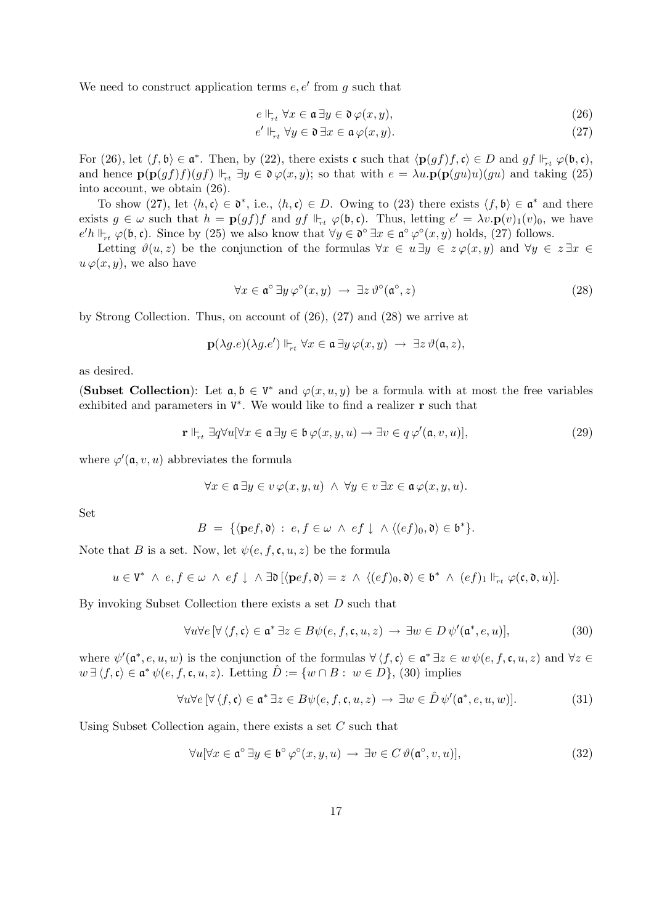We need to construct application terms  $e, e'$  from g such that

$$
e \Vdash_{rt} \forall x \in \mathfrak{a} \,\exists y \in \mathfrak{d} \,\varphi(x, y),\tag{26}
$$

$$
e' \Vdash_{rt} \forall y \in \mathfrak{d} \,\exists x \in \mathfrak{a} \,\varphi(x, y). \tag{27}
$$

For (26), let  $\langle f, \mathfrak{b} \rangle \in \mathfrak{a}^*$ . Then, by (22), there exists c such that  $\langle \mathbf{p}(gf)f, \mathfrak{c} \rangle \in D$  and  $gf \Vdash_{rt} \varphi(\mathfrak{b}, \mathfrak{c})$ , and hence  $\mathbf{p}(\mathbf{p}(gf)f)(gf) \Vdash_{rt} \exists y \in \mathfrak{d} \varphi(x,y)$ ; so that with  $e = \lambda u \cdot \mathbf{p}(\mathbf{p}(gu)u)(gu)$  and taking (25) into account, we obtain (26).

To show (27), let  $\langle h, \mathfrak{c} \rangle \in \mathfrak{d}^*$ , i.e.,  $\langle h, \mathfrak{c} \rangle \in D$ . Owing to (23) there exists  $\langle f, \mathfrak{b} \rangle \in \mathfrak{a}^*$  and there exists  $g \in \omega$  such that  $h = \mathbf{p}(gf)f$  and  $gf \Vdash_{rt} \varphi(\mathfrak{b}, \mathfrak{c})$ . Thus, letting  $e' = \lambda v \cdot \mathbf{p}(v)_1(v)_0$ , we have  $e'h \Vdash_{rt} \varphi(\mathfrak{b}, \mathfrak{c})$ . Since by (25) we also know that  $\forall y \in \mathfrak{d}^{\circ} \exists x \in \mathfrak{a}^{\circ} \varphi^{\circ}(x, y)$  holds, (27) follows.

Letting  $\vartheta(u, z)$  be the conjunction of the formulas  $\forall x \in u \exists y \in z \varphi(x, y)$  and  $\forall y \in z \exists x \in z$  $u \varphi(x, y)$ , we also have

$$
\forall x \in \mathfrak{a}^{\circ} \exists y \varphi^{\circ}(x, y) \rightarrow \exists z \vartheta^{\circ}(\mathfrak{a}^{\circ}, z) \tag{28}
$$

by Strong Collection. Thus, on account of (26), (27) and (28) we arrive at

$$
\mathbf{p}(\lambda g.e)(\lambda g.e') \Vdash_{rt} \forall x \in \mathfrak{a} \exists y \, \varphi(x,y) \ \rightarrow \ \exists z \, \vartheta(\mathfrak{a},z),
$$

as desired.

(Subset Collection): Let  $a, b \in V^*$  and  $\varphi(x, u, y)$  be a formula with at most the free variables exhibited and parameters in  $V^*$ . We would like to find a realizer **r** such that

$$
\mathbf{r} \Vdash_{rt} \exists q \forall u [\forall x \in \mathfrak{a} \, \exists y \in \mathfrak{b} \, \varphi(x, y, u) \to \exists v \in q \, \varphi'(\mathfrak{a}, v, u)],\tag{29}
$$

where  $\varphi'(\mathfrak{a}, v, u)$  abbreviates the formula

$$
\forall x \in \mathfrak{a} \, \exists y \in v \, \varphi(x, y, u) \land \forall y \in v \, \exists x \in \mathfrak{a} \, \varphi(x, y, u).
$$

Set

$$
B = \{ \langle \mathbf{p}ef, \mathfrak{d} \rangle : e, f \in \omega \land ef \downarrow \land \langle (ef)_0, \mathfrak{d} \rangle \in \mathfrak{b}^* \}.
$$

Note that B is a set. Now, let  $\psi(e, f, \mathfrak{c}, u, z)$  be the formula

$$
u\in \mathtt{V}^*~\wedge~e,f\in \omega~\wedge~ef\downarrow~\wedge~\exists \mathfrak{d}~[\langle \mathbf{p}ef,\mathfrak{d}\rangle=z~\wedge~\langle (ef)_0,\mathfrak{d}\rangle \in \mathfrak{b}^*~\wedge~(ef)_1\Vdash_{rt} \varphi(\mathfrak{c},\mathfrak{d},u)].
$$

By invoking Subset Collection there exists a set D such that

$$
\forall u \forall e \left[ \forall \left\langle f, \mathfrak{c} \right\rangle \in \mathfrak{a}^* \, \exists z \in B \psi(e, f, \mathfrak{c}, u, z) \rightarrow \exists w \in D \, \psi'(\mathfrak{a}^*, e, u) \right],\tag{30}
$$

where  $\psi'(\mathfrak{a}^*, e, u, w)$  is the conjunction of the formulas  $\forall \langle f, \mathfrak{c} \rangle \in \mathfrak{a}^* \exists z \in w \psi(e, f, \mathfrak{c}, u, z)$  and  $\forall z \in \mathfrak{a}^*$  $w \exists \langle f, \mathfrak{c} \rangle \in \mathfrak{a}^* \psi(e, f, \mathfrak{c}, u, z)$ . Letting  $\hat{D} := \{w \cap B : w \in D\},\$  (30) implies

$$
\forall u \forall e \left[ \forall \langle f, \mathfrak{c} \rangle \in \mathfrak{a}^* \, \exists z \in B \psi(e, f, \mathfrak{c}, u, z) \rightarrow \exists w \in \hat{D} \, \psi'(\mathfrak{a}^*, e, u, w) \right]. \tag{31}
$$

Using Subset Collection again, there exists a set C such that

$$
\forall u[\forall x \in \mathfrak{a}^{\circ} \exists y \in \mathfrak{b}^{\circ} \varphi^{\circ}(x, y, u) \rightarrow \exists v \in C \ \vartheta(\mathfrak{a}^{\circ}, v, u)],\tag{32}
$$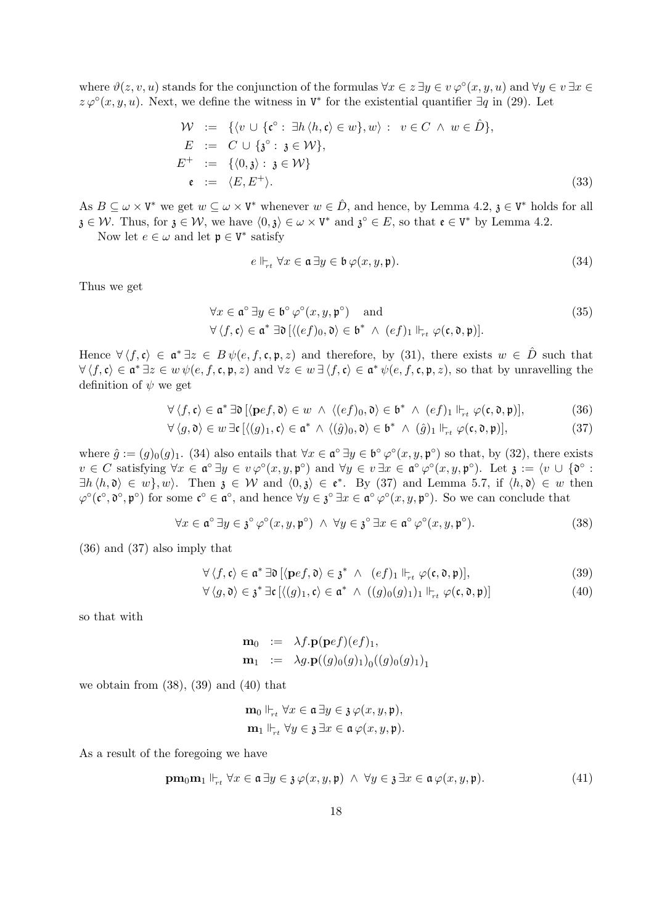where  $\vartheta(z, v, u)$  stands for the conjunction of the formulas  $\forall x \in \overline{z} \exists y \in v \varphi^{\circ}(x, y, u)$  and  $\forall y \in v \exists x \in \overline{z}$  $z \varphi^{\circ}(x, y, u)$ . Next, we define the witness in  $V^*$  for the existential quantifier  $\exists q$  in (29). Let

$$
\mathcal{W} := \{ \langle v \cup \{ \mathfrak{c}^{\circ} : \exists h \langle h, \mathfrak{c} \rangle \in w \}, w \rangle : v \in C \land w \in \hat{D} \},
$$
  
\n
$$
E := C \cup \{ \mathfrak{z}^{\circ} : \mathfrak{z} \in \mathcal{W} \},
$$
  
\n
$$
E^{+} := \{ \langle 0, \mathfrak{z} \rangle : \mathfrak{z} \in \mathcal{W} \}
$$
  
\n
$$
\mathfrak{e} := \langle E, E^{+} \rangle.
$$
 (33)

As  $B \subseteq \omega \times V^*$  we get  $w \subseteq \omega \times V^*$  whenever  $w \in \hat{D}$ , and hence, by Lemma 4.2,  $\mathfrak{z} \in V^*$  holds for all  $\mathfrak{z} \in \mathcal{W}$ . Thus, for  $\mathfrak{z} \in \mathcal{W}$ , we have  $\langle 0, \mathfrak{z} \rangle \in \omega \times V^*$  and  $\mathfrak{z}^{\circ} \in E$ , so that  $\mathfrak{e} \in V^*$  by Lemma 4.2.

Now let  $e \in \omega$  and let  $\mathfrak{p} \in V^*$  satisfy

$$
e \Vdash_{rt} \forall x \in \mathfrak{a} \,\exists y \in \mathfrak{b} \,\varphi(x, y, \mathfrak{p}).\tag{34}
$$

Thus we get

$$
\forall x \in \mathfrak{a}^{\circ} \exists y \in \mathfrak{b}^{\circ} \varphi^{\circ}(x, y, \mathfrak{p}^{\circ}) \quad \text{and} \quad (35)
$$
  

$$
\forall \langle f, \mathfrak{c} \rangle \in \mathfrak{a}^* \exists \mathfrak{d} \left[ \langle (ef)_0, \mathfrak{d} \rangle \in \mathfrak{b}^* \ \land \ (ef)_1 \Vdash_{rt} \varphi(\mathfrak{c}, \mathfrak{d}, \mathfrak{p}) \right].
$$

Hence  $\forall \langle f, \mathfrak{c} \rangle \in \mathfrak{a}^* \exists z \in B \psi(e, f, \mathfrak{c}, \mathfrak{p}, z)$  and therefore, by (31), there exists  $w \in \hat{D}$  such that  $\forall \langle f, \mathfrak{c} \rangle \in \mathfrak{a}^* \exists z \in w \, \psi(e, f, \mathfrak{c}, \mathfrak{p}, z)$  and  $\forall z \in w \, \exists \langle f, \mathfrak{c} \rangle \in \mathfrak{a}^* \, \psi(e, f, \mathfrak{c}, \mathfrak{p}, z)$ , so that by unravelling the definition of  $\psi$  we get

$$
\forall \langle f, \mathfrak{c} \rangle \in \mathfrak{a}^* \,\exists \mathfrak{d} \, [\langle \mathbf{p}ef, \mathfrak{d} \rangle \in w \ \land \ \langle (ef)_0, \mathfrak{d} \rangle \in \mathfrak{b}^* \ \land \ (ef)_1 \Vdash_{rt} \varphi(\mathfrak{c}, \mathfrak{d}, \mathfrak{p})], \tag{36}
$$

$$
\forall \langle g, \mathfrak{d} \rangle \in w \exists \mathfrak{c} \left[ \langle (g)_1, \mathfrak{c} \rangle \in \mathfrak{a}^* \land \langle (\hat{g})_0, \mathfrak{d} \rangle \in \mathfrak{b}^* \land (\hat{g})_1 \Vdash_{rt} \varphi(\mathfrak{c}, \mathfrak{d}, \mathfrak{p}) \right], \tag{37}
$$

where  $\hat{g} := (g)_0(g)_1$ . (34) also entails that  $\forall x \in \mathfrak{a}^{\circ} \exists y \in \mathfrak{b}^{\circ} \varphi^{\circ}(x, y, \mathfrak{p}^{\circ})$  so that, by (32), there exists  $v \in C$  satisfying  $\forall x \in \mathfrak{a}^{\circ} \exists y \in v \varphi^{\circ}(x, y, \mathfrak{p}^{\circ})$  and  $\forall y \in v \exists x \in \mathfrak{a}^{\circ} \varphi^{\circ}(x, y, \mathfrak{p}^{\circ})$ . Let  $\mathfrak{z} := \langle v \cup \{ \mathfrak{d}^{\circ} : v \in C \rangle : v \in C \rangle$  $\exists h \langle h, \mathfrak{d} \rangle \in w$ , w). Then  $\mathfrak{z} \in \mathcal{W}$  and  $\langle 0, \mathfrak{z} \rangle \in \mathfrak{e}^*$ . By (37) and Lemma 5.7, if  $\langle h, \mathfrak{d} \rangle \in w$  then  $\varphi^{\circ}(\mathfrak{c}^{\circ}, \mathfrak{d}^{\circ}, \mathfrak{p}^{\circ})$  for some  $\mathfrak{c}^{\circ} \in \mathfrak{a}^{\circ}$ , and hence  $\forall y \in \mathfrak{z}^{\circ} \exists x \in \mathfrak{a}^{\circ} \varphi^{\circ}(x, y, \mathfrak{p}^{\circ})$ . So we can conclude that

$$
\forall x \in \mathfrak{a}^{\circ} \exists y \in \mathfrak{z}^{\circ} \varphi^{\circ}(x, y, \mathfrak{p}^{\circ}) \ \land \ \forall y \in \mathfrak{z}^{\circ} \exists x \in \mathfrak{a}^{\circ} \varphi^{\circ}(x, y, \mathfrak{p}^{\circ}). \tag{38}
$$

(36) and (37) also imply that

$$
\forall \langle f, \mathfrak{c} \rangle \in \mathfrak{a}^* \,\exists \mathfrak{d} \, [\langle \mathbf{p}ef, \mathfrak{d} \rangle \in \mathfrak{z}^* \ \land \ \ (ef)_1 \Vdash_{rt} \varphi(\mathfrak{c}, \mathfrak{d}, \mathfrak{p})], \tag{39}
$$

$$
\forall \langle g, \mathfrak{d} \rangle \in \mathfrak{z}^* \exists \mathfrak{c} \left[ \langle (g)_1, \mathfrak{c} \rangle \in \mathfrak{a}^* \ \wedge \ ((g)_0(g)_1)_1 \Vdash_{\mathsf{r}^t} \varphi(\mathfrak{c}, \mathfrak{d}, \mathfrak{p}) \right] \tag{40}
$$

so that with

$$
\mathbf{m}_0 := \lambda f.\mathbf{p}(\mathbf{p}ef)(ef)_1,
$$
  

$$
\mathbf{m}_1 := \lambda g.\mathbf{p}((g)_0(g)_1)_0((g)_0(g)_1)_1
$$

we obtain from  $(38)$ ,  $(39)$  and  $(40)$  that

$$
\mathbf{m}_0 \Vdash_{rt} \forall x \in \mathfrak{a} \, \exists y \in \mathfrak{z} \, \varphi(x, y, \mathfrak{p}),\mathbf{m}_1 \Vdash_{rt} \forall y \in \mathfrak{z} \, \exists x \in \mathfrak{a} \, \varphi(x, y, \mathfrak{p}).
$$

As a result of the foregoing we have

$$
\mathbf{pm}_{0}\mathbf{m}_{1} \Vdash_{rt} \forall x \in \mathfrak{a} \exists y \in \mathfrak{z} \varphi(x, y, \mathfrak{p}) \ \land \ \forall y \in \mathfrak{z} \exists x \in \mathfrak{a} \varphi(x, y, \mathfrak{p}). \tag{41}
$$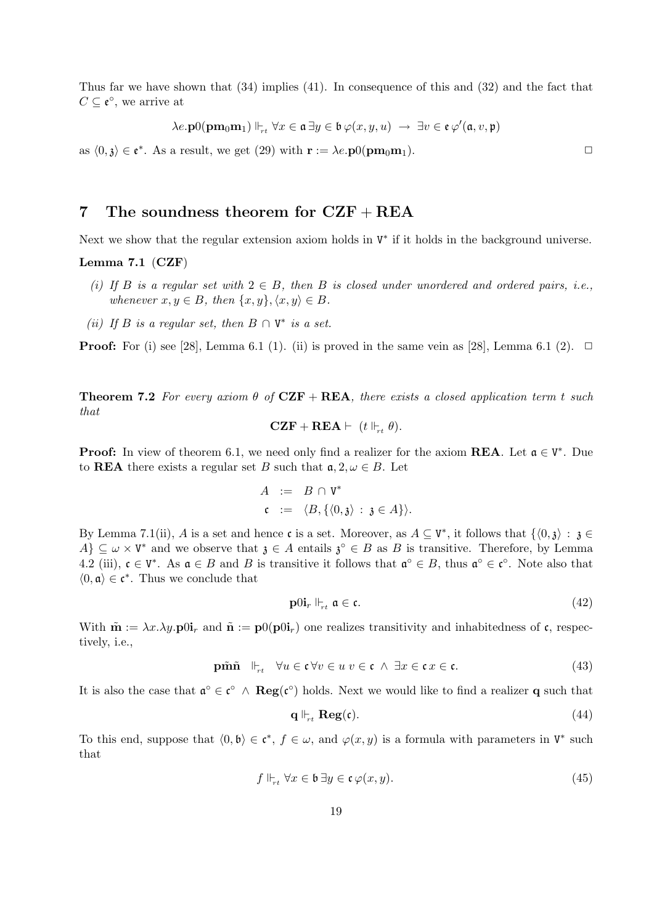Thus far we have shown that (34) implies (41). In consequence of this and (32) and the fact that  $C \subseteq \mathfrak{e}^{\circ}$ , we arrive at

$$
\lambda e.\mathbf{p}0(\mathbf{p}\mathbf{m}_0\mathbf{m}_1) \Vdash_{rt} \forall x \in \mathfrak{a} \, \exists y \in \mathfrak{b} \, \varphi(x,y,u) \, \rightarrow \, \exists v \in \mathfrak{e} \, \varphi'(\mathfrak{a},v,\mathfrak{p})
$$

as  $\langle 0, \mathfrak{z} \rangle \in \mathfrak{e}^*$ . As a result, we get (29) with  $\mathbf{r} := \lambda e.\mathbf{p}0(\mathbf{p}\mathbf{m}_0\mathbf{m}_1)$ .

# 7 The soundness theorem for  $CZF + REA$

Next we show that the regular extension axiom holds in  $V^*$  if it holds in the background universe.

#### Lemma 7.1 (CZF)

- (i) If B is a regular set with  $2 \in B$ , then B is closed under unordered and ordered pairs, i.e., whenever  $x, y \in B$ , then  $\{x, y\}, \langle x, y \rangle \in B$ .
- (ii) If B is a regular set, then  $B \cap V^*$  is a set.

**Proof:** For (i) see [28], Lemma 6.1 (1). (ii) is proved in the same vein as [28], Lemma 6.1 (2).  $\Box$ 

**Theorem 7.2** For every axiom  $\theta$  of  $CZF + REA$ , there exists a closed application term t such that

$$
\mathbf{CZF}+\mathbf{REA} \vdash (t \Vdash_{rt} \theta).
$$

**Proof:** In view of theorem 6.1, we need only find a realizer for the axiom **REA**. Let  $a \in V^*$ . Due to **REA** there exists a regular set B such that  $a, 2, \omega \in B$ . Let

$$
A := B \cap V^*
$$
  

$$
c := \langle B, \{ \langle 0, \mathfrak{z} \rangle : \mathfrak{z} \in A \} \rangle.
$$

By Lemma 7.1(ii), A is a set and hence c is a set. Moreover, as  $A \subseteq V^*$ , it follows that  $\{\langle 0, \mathbf{j} \rangle : \mathbf{j} \in \mathbb{R}$  $A\} \subseteq \omega \times V^*$  and we observe that  $\mathfrak{z} \in A$  entails  $\mathfrak{z}^{\circ} \in B$  as B is transitive. Therefore, by Lemma 4.2 (iii),  $\mathfrak{c} \in V^*$ . As  $\mathfrak{a} \in B$  and B is transitive it follows that  $\mathfrak{a}^{\circ} \in B$ , thus  $\mathfrak{a}^{\circ} \in \mathfrak{c}^{\circ}$ . Note also that  $\langle 0, \mathfrak{a} \rangle \in \mathfrak{c}^*$ . Thus we conclude that

$$
\mathbf{p}0\mathbf{i}_r \Vdash_{rt} \mathfrak{a} \in \mathfrak{c}.\tag{42}
$$

With  $\tilde{\mathbf{m}} := \lambda x. \lambda y. \mathbf{p} \cdot 0 \mathbf{i}_r$  and  $\tilde{\mathbf{n}} := \mathbf{p} \cdot 0(\mathbf{p} \cdot 0 \mathbf{i}_r)$  one realizes transitivity and inhabitedness of c, respectively, i.e.,

$$
\mathbf{p}\tilde{\mathbf{m}}\tilde{\mathbf{n}} \quad \Vdash_{rt} \quad \forall u \in \mathfrak{c} \,\forall v \in u \,\, v \in \mathfrak{c} \,\land\, \exists x \in \mathfrak{c} \, x \in \mathfrak{c}. \tag{43}
$$

It is also the case that  $\mathfrak{a}^{\circ} \in \mathfrak{c}^{\circ} \wedge \text{Reg}(\mathfrak{c}^{\circ})$  holds. Next we would like to find a realizer **q** such that

$$
\mathbf{q} \Vdash_{rt} \mathbf{Reg}(\mathfrak{c}).\tag{44}
$$

To this end, suppose that  $\langle 0, \mathfrak{b} \rangle \in \mathfrak{c}^*, f \in \omega$ , and  $\varphi(x, y)$  is a formula with parameters in  $V^*$  such that

$$
f \Vdash_{rt} \forall x \in \mathfrak{b} \,\exists y \in \mathfrak{c} \,\varphi(x, y). \tag{45}
$$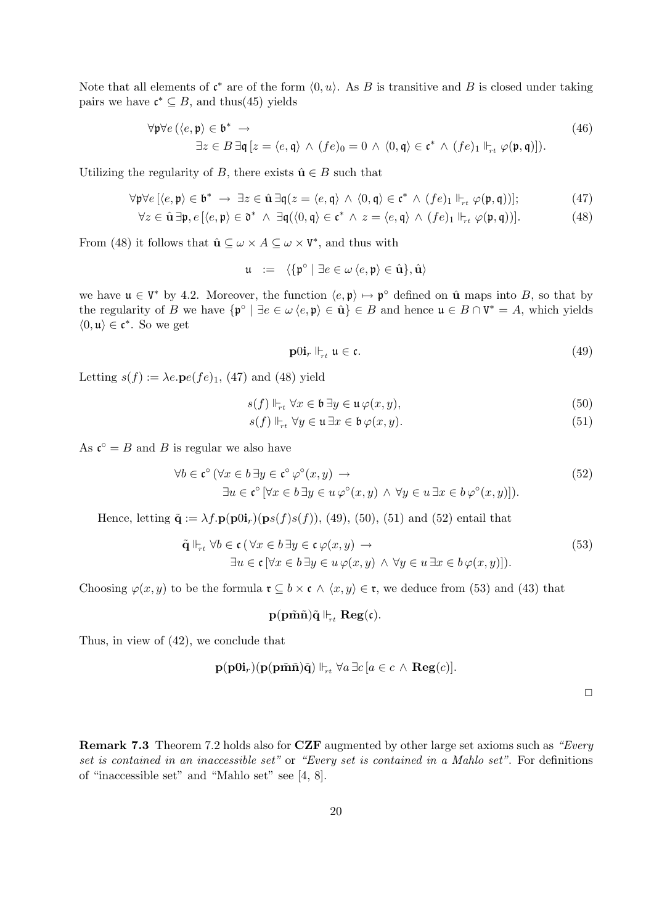Note that all elements of  $\mathfrak{c}^*$  are of the form  $\langle 0, u \rangle$ . As B is transitive and B is closed under taking pairs we have  $\mathfrak{c}^* \subseteq B$ , and thus(45) yields

$$
\forall \mathfrak{p} \forall e (\langle e, \mathfrak{p} \rangle \in \mathfrak{b}^* \rightarrow \exists z \in B \exists \mathfrak{q} [z = \langle e, \mathfrak{q} \rangle \land (fe)_0 = 0 \land \langle 0, \mathfrak{q} \rangle \in \mathfrak{c}^* \land (fe)_1 \Vdash_{rt} \varphi(\mathfrak{p}, \mathfrak{q})]).
$$
\n(46)

Utilizing the regularity of B, there exists  $\hat{\mathbf{u}} \in B$  such that

$$
\forall \mathfrak{p} \forall e \left[ \langle e, \mathfrak{p} \rangle \in \mathfrak{b}^* \rightarrow \exists z \in \hat{\mathbf{u}} \exists \mathfrak{q} (z = \langle e, \mathfrak{q} \rangle \land \langle 0, \mathfrak{q} \rangle \in \mathfrak{c}^* \land (fe)_1 \Vdash_{rt} \varphi(\mathfrak{p}, \mathfrak{q}) \right];\tag{47}
$$

$$
\forall z \in \hat{\mathbf{u}} \,\exists \mathfrak{p}, e \left[ \langle e, \mathfrak{p} \rangle \in \mathfrak{d}^* \ \wedge \ \exists \mathfrak{q} (\langle 0, \mathfrak{q} \rangle \in \mathfrak{c}^* \ \wedge \ z = \langle e, \mathfrak{q} \rangle \ \wedge \ (fe)_1 \Vdash_{rt} \varphi(\mathfrak{p}, \mathfrak{q}) \right]. \tag{48}
$$

From (48) it follows that  $\hat{\mathbf{u}} \subseteq \omega \times A \subseteq \omega \times V^*$ , and thus with

$$
\mathfrak{u} \ := \ \langle \{ \mathfrak{p}^{\circ} \mid \exists e \in \omega \, \langle e, \mathfrak{p} \rangle \in \hat{\mathbf{u}} \}, \hat{\mathbf{u}} \rangle
$$

we have  $\mathfrak{u} \in V^*$  by 4.2. Moreover, the function  $\langle e, \mathfrak{p} \rangle \mapsto \mathfrak{p}^{\circ}$  defined on  $\hat{\mathfrak{u}}$  maps into B, so that by the regularity of B we have  $\{\mathfrak{p}^{\circ} \mid \exists e \in \omega \langle e, \mathfrak{p} \rangle \in \hat{\mathbf{u}}\} \in B$  and hence  $\mathfrak{u} \in B \cap V^* = A$ , which yields  $\langle 0, \mathfrak{u} \rangle \in \mathfrak{c}^*$ . So we get

$$
\mathbf{p}0\mathbf{i}_r \Vdash_{rt} \mathfrak{u} \in \mathfrak{c}.\tag{49}
$$

Letting  $s(f) := \lambda e.\mathbf{p}e(fe)_1$ , (47) and (48) yield

$$
s(f) \Vdash_{rt} \forall x \in \mathfrak{b} \,\exists y \in \mathfrak{u} \,\varphi(x, y),\tag{50}
$$

$$
s(f) \Vdash_{rt} \forall y \in \mathfrak{u} \,\exists x \in \mathfrak{b} \,\varphi(x, y). \tag{51}
$$

As  $\mathfrak{c}^{\circ} = B$  and B is regular we also have

$$
\forall b \in \mathfrak{c}^{\circ} \ (\forall x \in b \ \exists y \in \mathfrak{c}^{\circ} \ \varphi^{\circ}(x, y) \rightarrow \exists u \in \mathfrak{c}^{\circ} \ [\forall x \in b \ \exists y \in u \ \varphi^{\circ}(x, y) \ \land \ \forall y \in u \ \exists x \in b \ \varphi^{\circ}(x, y)]). \tag{52}
$$

Hence, letting  $\tilde{\mathbf{q}} := \lambda f.\mathbf{p}(\mathbf{p}0\mathbf{i}_r)(\mathbf{p}s(f)s(f)),$  (49), (50), (51) and (52) entail that

$$
\tilde{\mathbf{q}} \Vdash_{rt} \forall b \in \mathfrak{c} \left( \forall x \in b \exists y \in \mathfrak{c} \varphi(x, y) \rightarrow \exists u \in \mathfrak{c} \left[ \forall x \in b \exists y \in u \varphi(x, y) \land \forall y \in u \exists x \in b \varphi(x, y) \right] \right). \tag{53}
$$

Choosing  $\varphi(x, y)$  to be the formula  $\mathfrak{r} \subseteq b \times \mathfrak{c} \land \langle x, y \rangle \in \mathfrak{r}$ , we deduce from (53) and (43) that

 $p(p\tilde{\mathbf{m}}\tilde{\mathbf{n}})\tilde{\mathbf{q}} \Vdash_{rt} \mathbf{Reg}(\mathfrak{c}).$ 

Thus, in view of (42), we conclude that

$$
\mathbf{p}(\mathbf{p0i}_{r})(\mathbf{p}(\mathbf{p}\tilde{\mathbf{m}}\tilde{\mathbf{n}})\tilde{\mathbf{q}})\Vdash_{rt} \forall a \exists c [a \in c \land \mathbf{Reg}(c)].
$$

 $\Box$ 

Remark 7.3 Theorem 7.2 holds also for CZF augmented by other large set axioms such as "Every" set is contained in an inaccessible set" or "Every set is contained in a Mahlo set". For definitions of "inaccessible set" and "Mahlo set" see [4, 8].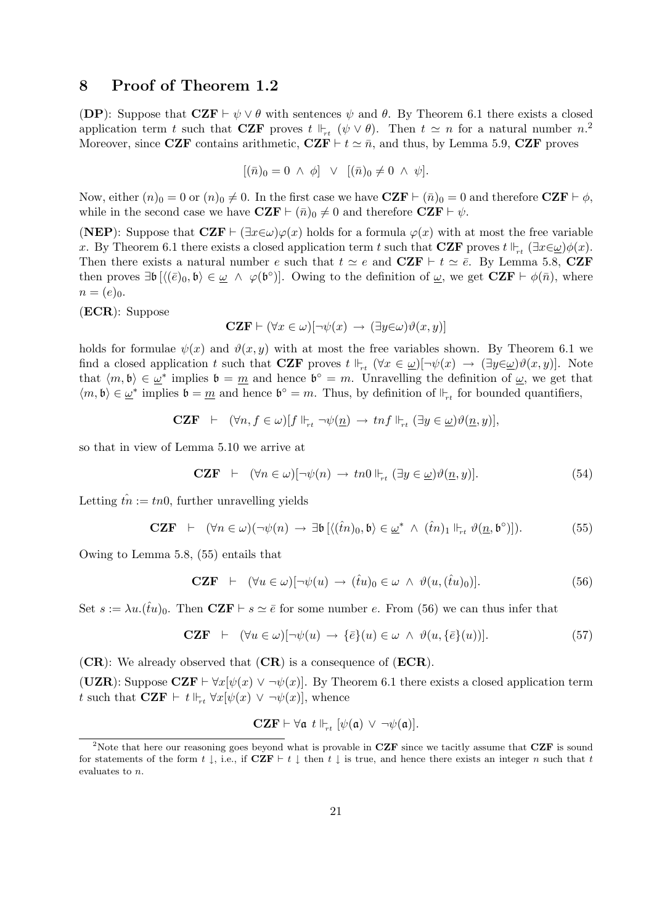# 8 Proof of Theorem 1.2

(DP): Suppose that  $CZF \vdash \psi \lor \theta$  with sentences  $\psi$  and  $\theta$ . By Theorem 6.1 there exists a closed application term t such that **CZF** proves  $t \Vdash_{rt} (\psi \vee \theta)$ . Then  $t \simeq n$  for a natural number  $n$ <sup>2</sup> Moreover, since CZF contains arithmetic,  $CZF \vdash t \simeq \bar{n}$ , and thus, by Lemma 5.9, CZF proves

$$
[(\bar{n})_0 = 0 \ \land \ \phi] \ \lor \ [(\bar{n})_0 \neq 0 \ \land \ \psi].
$$

Now, either  $(n)_0 = 0$  or  $(n)_0 \neq 0$ . In the first case we have  $CZF \vdash (\bar{n})_0 = 0$  and therefore  $CZF \vdash \phi$ , while in the second case we have  $CZF \vdash (\bar{n})_0 \neq 0$  and therefore  $CZF \vdash \psi$ .

(NEP): Suppose that  $CZF \vdash (\exists x \in \omega)\varphi(x)$  holds for a formula  $\varphi(x)$  with at most the free variable x. By Theorem 6.1 there exists a closed application term t such that CZF proves  $t \Vdash_{rt} (\exists x \in \omega) \phi(x)$ . Then there exists a natural number e such that  $t \simeq e$  and  $CZF \vdash t \simeq \bar{e}$ . By Lemma 5.8, CZF then proves  $\exists \mathfrak{b} \left[ \langle (\bar{e})_0, \mathfrak{b} \rangle \in \underline{\omega} \land \varphi(\mathfrak{b}^{\circ}) \right]$ . Owing to the definition of  $\underline{\omega}$ , we get  $\mathbf{CZF} \vdash \phi(\bar{n})$ , where  $n = (e)_0.$ 

(ECR): Suppose

$$
\mathbf{CZF} \vdash (\forall x \in \omega)[\neg \psi(x) \rightarrow (\exists y \in \omega)\vartheta(x, y)]
$$

holds for formulae  $\psi(x)$  and  $\vartheta(x, y)$  with at most the free variables shown. By Theorem 6.1 we find a closed application t such that **CZF** proves  $t \Vdash_{rt} (\forall x \in \underline{\omega})[\neg \psi(x) \rightarrow (\exists y \in \underline{\omega}) \vartheta(x, y)]$ . Note that  $\langle m, \mathfrak{b} \rangle \in \underline{\omega}^*$  implies  $\mathfrak{b} = \underline{m}$  and hence  $\mathfrak{b}^{\circ} = m$ . Unravelling the definition of  $\underline{\omega}$ , we get that  $\langle m, \mathfrak{b} \rangle \in \underline{\omega}^*$  implies  $\mathfrak{b} = \underline{m}$  and hence  $\mathfrak{b}^{\circ} = m$ . Thus, by definition of  $\mathbb{H}_{rt}$  for bounded quantifiers,

$$
\mathbf{CZF} \;\; \vdash \;\; (\forall n, f \in \omega)[f \Vdash_{rt} \neg \psi(\underline{n}) \to \operatorname{tnf} \Vdash_{rt} (\exists y \in \underline{\omega})\vartheta(\underline{n}, y)],
$$

so that in view of Lemma 5.10 we arrive at

$$
\mathbf{CZF} \quad \vdash \quad (\forall n \in \omega) [\neg \psi(n) \to tn0 \Vdash_{rt} (\exists y \in \underline{\omega}) \vartheta(\underline{n}, y)]. \tag{54}
$$

Letting  $\hat{tn} := tn0$ , further unravelling yields

$$
\mathbf{CZF} \quad \vdash \quad (\forall n \in \omega)(\neg \psi(n) \rightarrow \exists \mathfrak{b} \left[ \langle (\hat{t}n)_0, \mathfrak{b} \rangle \in \underline{\omega}^* \ \wedge \ (\hat{t}n)_1 \Vdash_{rt} \vartheta(\underline{n}, \mathfrak{b}^\circ) \right]). \tag{55}
$$

Owing to Lemma 5.8, (55) entails that

$$
\mathbf{CZF} \quad \vdash \quad (\forall u \in \omega) [\neg \psi(u) \rightarrow (\hat{t}u)_0 \in \omega \ \land \ \vartheta(u, (\hat{t}u)_0)]. \tag{56}
$$

Set  $s := \lambda u \cdot (\hat{t}u)_0$ . Then  $\mathbf{CZF} \vdash s \simeq \bar{e}$  for some number e. From (56) we can thus infer that

$$
\mathbf{CZF} \quad \vdash \quad (\forall u \in \omega) [\neg \psi(u) \rightarrow \{\bar{e}\}(u) \in \omega \ \land \ \vartheta(u, \{\bar{e}\}(u))]. \tag{57}
$$

 $(CR)$ : We already observed that  $(CR)$  is a consequence of  $(ECR)$ .

(UZR): Suppose  $CZF \vdash \forall x[\psi(x) \vee \neg \psi(x)]$ . By Theorem 6.1 there exists a closed application term t such that  $CZF \vdash t \Vdash_{rt} \forall x[\psi(x) \lor \neg \psi(x)],$  whence

$$
\mathbf{CZF} \vdash \forall \mathfrak{a} \ t \Vdash_{rt} [\psi(\mathfrak{a}) \ \vee \ \neg \psi(\mathfrak{a})].
$$

<sup>&</sup>lt;sup>2</sup>Note that here our reasoning goes beyond what is provable in CZF since we tacitly assume that CZF is sound for statements of the form t  $\downarrow$ , i.e., if  $CZF \vdash t \downarrow$  then t  $\downarrow$  is true, and hence there exists an integer n such that t evaluates to n.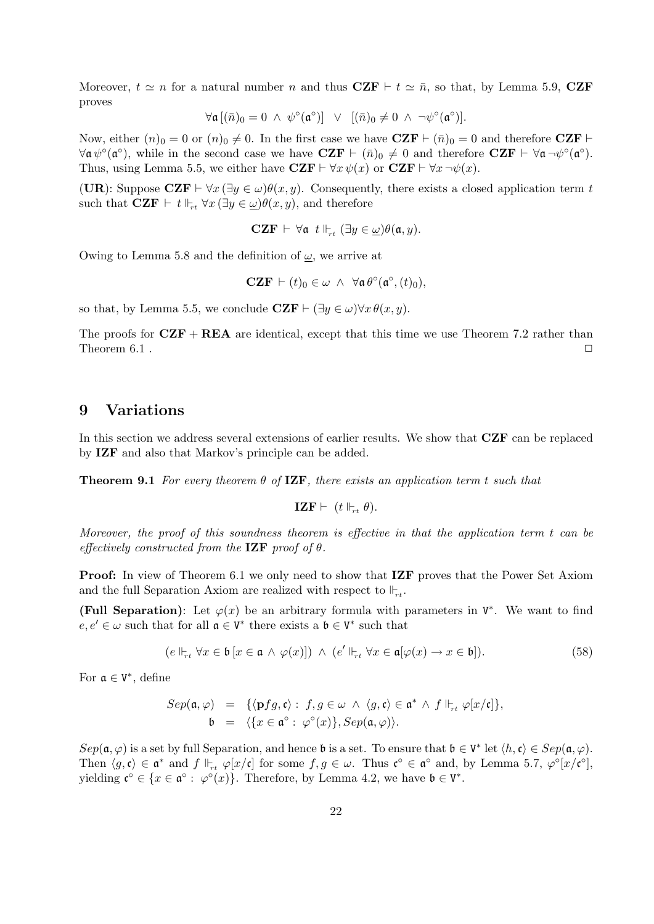Moreover,  $t \simeq n$  for a natural number n and thus  $CZF \vdash t \simeq \bar{n}$ , so that, by Lemma 5.9, CZF proves

$$
\forall \mathfrak{a} \left[ (\bar{n})_0 = 0 \; \wedge \; \psi^{\circ}(\mathfrak{a}^{\circ}) \right] \; \vee \; \left[ (\bar{n})_0 \neq 0 \; \wedge \; \neg \psi^{\circ}(\mathfrak{a}^{\circ}) \right].
$$

Now, either  $(n)_0 = 0$  or  $(n)_0 \neq 0$ . In the first case we have  $CZF \vdash (\bar{n})_0 = 0$  and therefore  $CZF \vdash$  $\forall \mathfrak{a} \psi^{\circ}(\mathfrak{a}^{\circ}),$  while in the second case we have  $\mathbf{CZF} \vdash (\bar{n})_0 \neq 0$  and therefore  $\mathbf{CZF} \vdash \forall \mathfrak{a} \neg \psi^{\circ}(\mathfrak{a}^{\circ}).$ Thus, using Lemma 5.5, we either have  $CZF \vdash \forall x \psi(x)$  or  $CZF \vdash \forall x \neg \psi(x)$ .

(UR): Suppose  $CZF \vdash \forall x (\exists y \in \omega)\theta(x, y)$ . Consequently, there exists a closed application term t such that  $CZF \vdash t \Vdash_{rt} \forall x (\exists y \in \underline{\omega}) \theta(x, y)$ , and therefore

$$
\mathbf{CZF} \;\vdash\; \forall \mathfrak{a} \;\; t \Vdash_{rt} (\exists y \in \underline{\omega}) \theta(\mathfrak{a}, y).
$$

Owing to Lemma 5.8 and the definition of  $\omega$ , we arrive at

$$
\mathbf{CZF} \vdash (t)_0 \in \omega \ \wedge \ \forall \mathfrak{a} \, \theta^\circ(\mathfrak{a}^\circ, (t)_0),
$$

so that, by Lemma 5.5, we conclude  $CZF \vdash (\exists y \in \omega) \forall x \theta(x, y)$ .

The proofs for  $CZF + REA$  are identical, except that this time we use Theorem 7.2 rather than Theorem 6.1 .  $\Box$ 

### 9 Variations

In this section we address several extensions of earlier results. We show that CZF can be replaced by IZF and also that Markov's principle can be added.

**Theorem 9.1** For every theorem  $\theta$  of **IZF**, there exists an application term t such that

$$
\textbf{IZF} \vdash (t \Vdash_{rt} \theta).
$$

Moreover, the proof of this soundness theorem is effective in that the application term t can be effectively constructed from the  $\mathbf{IZF}$  proof of  $\theta$ .

**Proof:** In view of Theorem 6.1 we only need to show that **IZF** proves that the Power Set Axiom and the full Separation Axiom are realized with respect to  $\mathbb{F}_{rt}$ .

(Full Separation): Let  $\varphi(x)$  be an arbitrary formula with parameters in  $V^*$ . We want to find  $e, e' \in \omega$  such that for all  $\mathfrak{a} \in V^*$  there exists a  $\mathfrak{b} \in V^*$  such that

$$
(e \Vdash_{rt} \forall x \in \mathfrak{b} [x \in \mathfrak{a} \land \varphi(x)]) \land (e' \Vdash_{rt} \forall x \in \mathfrak{a}[\varphi(x) \to x \in \mathfrak{b}]). \tag{58}
$$

For  $\mathfrak{a} \in V^*$ , define

$$
Sep(\mathfrak{a},\varphi) = \{ \langle \mathbf{p}fg, \mathfrak{c} \rangle : f, g \in \omega \land \langle g, \mathfrak{c} \rangle \in \mathfrak{a}^* \land f \Vdash_{rt} \varphi[x/\mathfrak{c}] \},
$$
  

$$
\mathfrak{b} = \langle \{x \in \mathfrak{a}^\circ : \varphi^\circ(x)\}, Sep(\mathfrak{a},\varphi) \rangle.
$$

 $Sep(\mathfrak{a},\varphi)$  is a set by full Separation, and hence  $\mathfrak{b}$  is a set. To ensure that  $\mathfrak{b}\in V^*$  let  $\langle h,\mathfrak{c}\rangle\in Sep(\mathfrak{a},\varphi)$ . Then  $\langle g, \mathfrak{c} \rangle \in \mathfrak{a}^*$  and  $f \Vdash_{rt} \varphi[x/\mathfrak{c}]$  for some  $f, g \in \omega$ . Thus  $\mathfrak{c}^\circ \in \mathfrak{a}^\circ$  and, by Lemma 5.7,  $\varphi^\circ[x/\mathfrak{c}^\circ]$ , yielding  $\mathfrak{c}^{\circ} \in \{x \in \mathfrak{a}^{\circ} : \varphi^{\circ}(x)\}.$  Therefore, by Lemma 4.2, we have  $\mathfrak{b} \in V^*$ .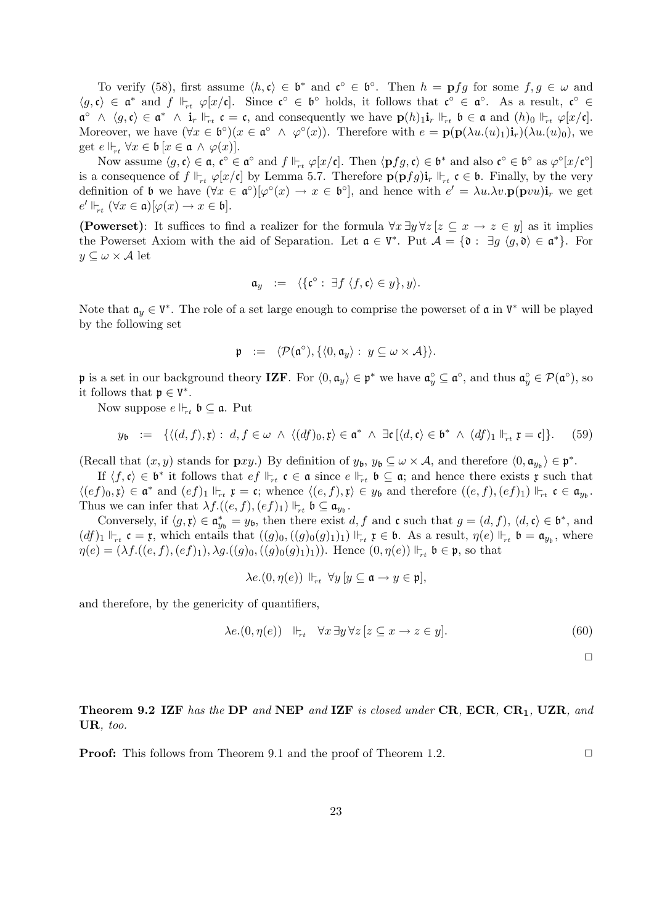To verify (58), first assume  $\langle h, \mathfrak{c} \rangle \in \mathfrak{b}^*$  and  $\mathfrak{c}^{\circ} \in \mathfrak{b}^{\circ}$ . Then  $h = \mathbf{p} fg$  for some  $f, g \in \omega$  and  $\langle g, \mathfrak{c} \rangle \in \mathfrak{a}^*$  and  $f \Vdash_{rt} \varphi[x/\mathfrak{c}]$ . Since  $\mathfrak{c}^\circ \in \mathfrak{b}^\circ$  holds, it follows that  $\mathfrak{c}^\circ \in \mathfrak{a}^\circ$ . As a result,  $\mathfrak{c}^\circ \in$  $\mathfrak{a}^{\circ} \wedge \langle g, \mathfrak{c} \rangle \in \mathfrak{a}^* \wedge \mathbf{i}_r \Vdash_{rt} \mathfrak{c} = \mathfrak{c},$  and consequently we have  $\mathbf{p}(h)_{1} \mathbf{i}_r \Vdash_{rt} \mathfrak{b} \in \mathfrak{a}$  and  $(h)_{0} \Vdash_{rt} \varphi[x/\mathfrak{c}]$ . Moreover, we have  $(\forall x \in \mathfrak{b}^{\circ})(x \in \mathfrak{a}^{\circ} \land \varphi^{\circ}(x))$ . Therefore with  $e = \mathbf{p}(\mathbf{p}(\lambda u \cdot (u)_1)\mathbf{i}_r)(\lambda u \cdot (u)_0)$ , we get  $e \Vdash_{rt} \forall x \in \mathfrak{b} [x \in \mathfrak{a} \land \varphi(x)].$ 

Now assume  $\langle g, \mathfrak{c} \rangle \in \mathfrak{a}, \mathfrak{c}^{\circ} \in \mathfrak{a}^{\circ}$  and  $f \Vdash_{rt} \varphi[x/\mathfrak{c}]$ . Then  $\langle \mathbf{p} fg, \mathfrak{c} \rangle \in \mathfrak{b}^*$  and also  $\mathfrak{c}^{\circ} \in \mathfrak{b}^{\circ}$  as  $\varphi^{\circ}[x/\mathfrak{c}^{\circ}]$ is a consequence of  $f \Vdash_{r} \varphi[x/\mathfrak{c}]$  by Lemma 5.7. Therefore  $\mathbf{p}(\mathbf{p} f g)\mathbf{i}_r \Vdash_{r} \mathfrak{c} \in \mathfrak{b}$ . Finally, by the very definition of b we have  $(\forall x \in \mathfrak{a}^{\circ})[\varphi^{\circ}(x) \to x \in \mathfrak{b}^{\circ}],$  and hence with  $e' = \lambda u.\lambda v.\mathbf{p}(\mathbf{p}vu)\mathbf{i}_r$  we get  $e' \Vdash_{rt} (\forall x \in \mathfrak{a})[\varphi(x) \to x \in \mathfrak{b}].$ 

(Powerset): It suffices to find a realizer for the formula  $\forall x \exists y \forall z [z \subseteq x \rightarrow z \in y]$  as it implies the Powerset Axiom with the aid of Separation. Let  $\mathfrak{a} \in V^*$ . Put  $\mathcal{A} = \{ \mathfrak{d} : \exists g \ (g, \mathfrak{d}) \in \mathfrak{a}^* \}$ . For  $y \subseteq \omega \times \mathcal{A}$  let

$$
\mathfrak{a}_y \ := \ \langle \{ \mathfrak{c}^\circ : \ \exists f \ \langle f, \mathfrak{c} \rangle \in y \}, y \rangle.
$$

Note that  $a_y \in V^*$ . The role of a set large enough to comprise the powerset of  $\mathfrak a$  in  $V^*$  will be played by the following set

$$
\mathfrak{p} \ := \ \langle \mathcal{P}(\mathfrak{a}^{\circ}), \{ \langle 0, \mathfrak{a}_y \rangle : \ y \subseteq \omega \times \mathcal{A} \} \rangle.
$$

p is a set in our background theory IZF. For  $\langle 0, \mathfrak{a}_y \rangle \in \mathfrak{p}^*$  we have  $\mathfrak{a}_y^{\circ} \subseteq \mathfrak{a}^{\circ}$ , and thus  $\mathfrak{a}_y^{\circ} \in \mathcal{P}(\mathfrak{a}^{\circ})$ , so it follows that  $\mathfrak{p} \in V^*$ .

Now suppose  $e \Vdash_{rt} \mathfrak{b} \subseteq \mathfrak{a}$ . Put

$$
y_{\mathfrak{b}} := \{ \langle (d, f), \mathfrak{x} \rangle : d, f \in \omega \ \land \ \langle (df)_0, \mathfrak{x} \rangle \in \mathfrak{a}^* \ \land \ \exists \mathfrak{c} \ [\langle d, \mathfrak{c} \rangle \in \mathfrak{b}^* \ \land \ (df)_1 \Vdash_{rt} \mathfrak{x} = \mathfrak{c} \} \tag{59}
$$

(Recall that  $(x, y)$  stands for  $\mathbf{p} xy$ .) By definition of  $y_{\mathfrak{b}}$ ,  $y_{\mathfrak{b}} \subseteq \omega \times A$ , and therefore  $\langle 0, \mathfrak{a}_{y_{\mathfrak{b}}}\rangle \in \mathfrak{p}^*$ .

If  $\langle f, \mathfrak{c} \rangle \in \mathfrak{b}^*$  it follows that  $\epsilon f \Vdash_{rt} \mathfrak{c} \in \mathfrak{a}$  since  $\epsilon \Vdash_{rt} \mathfrak{b} \subseteq \mathfrak{a}$ ; and hence there exists  $\mathfrak{x}$  such that  $\langle (ef)_0, \mathfrak{x} \rangle \in \mathfrak{a}^*$  and  $(ef)_1 \Vdash_{rt} \mathfrak{x} = \mathfrak{c}$ ; whence  $\langle (e, f), \mathfrak{x} \rangle \in y_{\mathfrak{b}}$  and therefore  $((e, f), (ef)_1) \Vdash_{rt} \mathfrak{c} \in \mathfrak{a}_{y_{\mathfrak{b}}}$ . Thus we can infer that  $\lambda f.((e, f), (ef)_1) \Vdash_{rt} \mathfrak{b} \subseteq \mathfrak{a}_{y_{\mathfrak{b}}}$ .

Conversely, if  $\langle g, \mathfrak{x} \rangle \in \mathfrak{a}_{y_{\mathfrak{b}}}^* = y_{\mathfrak{b}}$ , then there exist  $d, f$  and  $\mathfrak{c}$  such that  $g = (d, f), \langle d, \mathfrak{c} \rangle \in \mathfrak{b}^*$ , and  $(df)_1 \Vdash_{rt} \mathfrak{c} = \mathfrak{x}$ , which entails that  $((g)_0, ((g)_0(g)_1)_1) \Vdash_{rt} \mathfrak{x} \in \mathfrak{b}$ . As a result,  $\eta(e) \Vdash_{rt} \mathfrak{b} = \mathfrak{a}_{y_{\mathfrak{b}}},$  where  $\eta(e) = (\lambda f.((e, f), (ef)_1), \lambda g.((g)_0, ((g)_0(g)_1)_1))$ . Hence  $(0, \eta(e)) \Vdash_{rt} \mathfrak{b} \in \mathfrak{p}$ , so that

$$
\lambda e.(0, \eta(e)) \Vdash_{rt} \forall y \,[y \subseteq \mathfrak{a} \to y \in \mathfrak{p}],
$$

and therefore, by the genericity of quantifiers,

$$
\lambda e.(0, \eta(e)) \quad \Vdash_{rt} \quad \forall x \,\exists y \,\forall z \,[z \subseteq x \to z \in y]. \tag{60}
$$

 $\Box$ 

Theorem 9.2 IZF has the DP and NEP and IZF is closed under CR, ECR, CR<sub>1</sub>, UZR, and UR, too.

**Proof:** This follows from Theorem 9.1 and the proof of Theorem 1.2.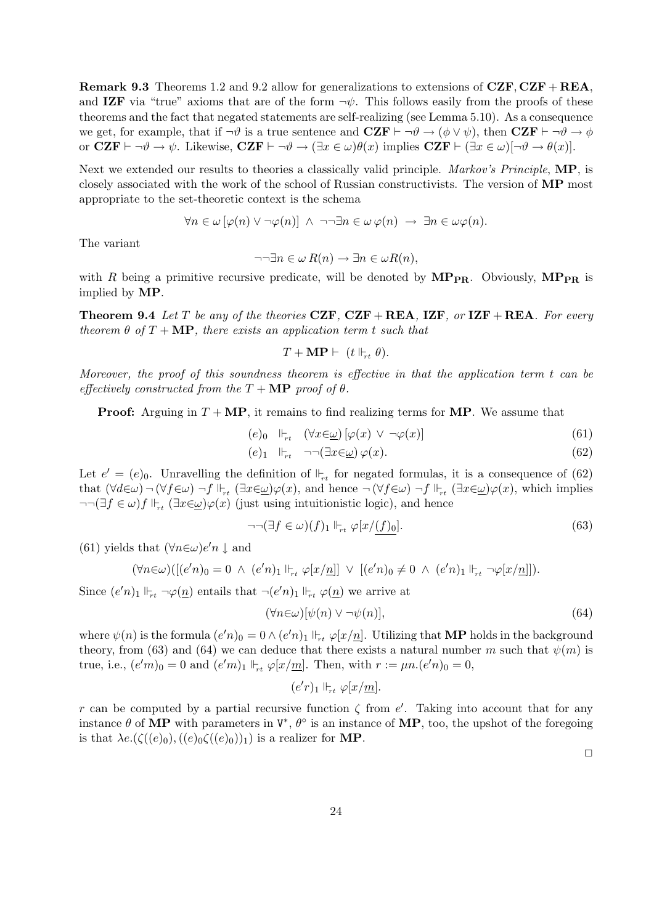**Remark 9.3** Theorems 1.2 and 9.2 allow for generalizations to extensions of  $CZF, CZF + REA$ , and IZF via "true" axioms that are of the form  $\neg \psi$ . This follows easily from the proofs of these theorems and the fact that negated statements are self-realizing (see Lemma 5.10). As a consequence we get, for example, that if  $\neg \vartheta$  is a true sentence and  $CZF \vdash \neg \vartheta \rightarrow (\phi \vee \psi)$ , then  $CZF \vdash \neg \vartheta \rightarrow \phi$ or  $CZF \vdash \neg \vartheta \to \psi$ . Likewise,  $CZF \vdash \neg \vartheta \to (\exists x \in \omega)\theta(x)$  implies  $CZF \vdash (\exists x \in \omega)[\neg \vartheta \to \theta(x)]$ .

Next we extended our results to theories a classically valid principle. Markov's Principle, MP, is closely associated with the work of the school of Russian constructivists. The version of MP most appropriate to the set-theoretic context is the schema

$$
\forall n \in \omega [\varphi(n) \vee \neg \varphi(n)] \ \wedge \ \neg \neg \exists n \in \omega \, \varphi(n) \ \rightarrow \ \exists n \in \omega \varphi(n).
$$

The variant

$$
\neg \neg \exists n \in \omega R(n) \to \exists n \in \omega R(n),
$$

with R being a primitive recursive predicate, will be denoted by  $\text{MP}_{\text{PR}}$ . Obviously,  $\text{MP}_{\text{PR}}$  is implied by MP.

**Theorem 9.4** Let T be any of the theories CZF, CZF + REA, IZF, or IZF + REA. For every theorem  $\theta$  of  $T + \mathbf{MP}$ , there exists an application term t such that

$$
T + \mathbf{MP} \vdash (t \Vdash_{rt} \theta).
$$

Moreover, the proof of this soundness theorem is effective in that the application term t can be effectively constructed from the  $T + \mathbf{MP}$  proof of  $\theta$ .

**Proof:** Arguing in  $T + MP$ , it remains to find realizing terms for **MP**. We assume that

$$
(e)_{0} \quad \Vdash_{rt} \quad (\forall x \in \underline{\omega}) \left[ \varphi(x) \ \vee \ \neg \varphi(x) \right] \tag{61}
$$

$$
(e)_1 \quad \Vdash_{rt} \quad \neg \neg (\exists x \in \underline{\omega}) \, \varphi(x). \tag{62}
$$

Let  $e' = (e)_0$ . Unravelling the definition of  $\Vdash_{rt}$  for negated formulas, it is a consequence of (62) that  $(\forall d \in \omega)$   $\neg (\forall f \in \omega)$   $\neg f \Vdash_{rt} (\exists x \in \underline{\omega}) \varphi(x)$ , and hence  $\neg (\forall f \in \omega)$   $\neg f \Vdash_{rt} (\exists x \in \underline{\omega}) \varphi(x)$ , which implies  $\neg\neg(\exists f \in \omega) f \Vdash_{rt} (\exists x \in \omega) \varphi(x)$  (just using intuitionistic logic), and hence

$$
\neg\neg(\exists f \in \omega)(f)_1 \Vdash_{rt} \varphi[x/\underline{(f)_0}].\tag{63}
$$

(61) yields that  $(\forall n \in \omega) e'n \downarrow$  and

$$
(\forall n \in \omega) ([(e'n)_0 = 0 \ \land \ (e'n)_1 \Vdash_{rt} \varphi[x/\underline{n}]] \ \lor \ [(e'n)_0 \neq 0 \ \land \ (e'n)_1 \Vdash_{rt} \neg \varphi[x/\underline{n}]].
$$

Since  $(e'n)_1 \Vdash_{rt} \neg \varphi(\underline{n})$  entails that  $\neg(e'n)_1 \Vdash_{rt} \varphi(\underline{n})$  we arrive at

$$
(\forall n \in \omega) [\psi(n) \lor \neg \psi(n)], \tag{64}
$$

where  $\psi(n)$  is the formula  $(e'n)_0 = 0 \wedge (e'n)_1 \Vdash_{rt} \varphi[x/\underline{n}]$ . Utilizing that **MP** holds in the background theory, from (63) and (64) we can deduce that there exists a natural number m such that  $\psi(m)$  is true, i.e.,  $(e^{\prime}m)_0 = 0$  and  $(e^{\prime}m)_1 \Vdash_{\tau_t} \varphi[x/\underline{m}]$ . Then, with  $r := \mu n.(e^{\prime}n)_0 = 0$ ,

 $(e'r)_1 \Vdash_{rt} \varphi[x/m].$ 

r can be computed by a partial recursive function  $\zeta$  from  $e'$ . Taking into account that for any instance  $\theta$  of MP with parameters in  $V^*$ ,  $\theta^{\circ}$  is an instance of MP, too, the upshot of the foregoing is that  $\lambda e.(\zeta((e)_0),((e)_0\zeta((e)_0))_1)$  is a realizer for **MP**.

 $\Box$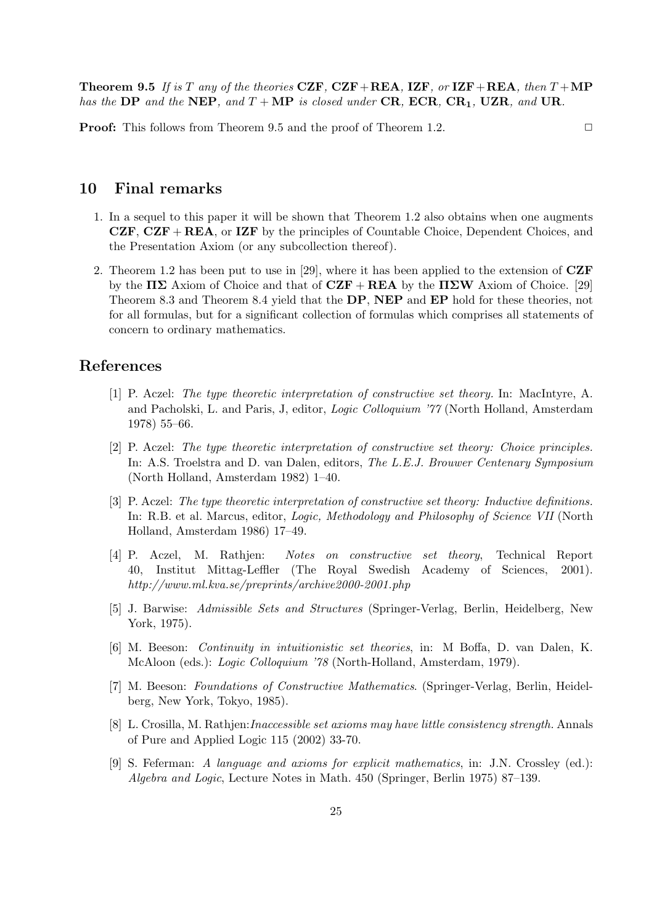**Theorem 9.5** If is T any of the theories CZF, CZF+REA, IZF, or IZF+REA, then  $T+MP$ has the DP and the NEP, and  $T + MP$  is closed under CR, ECR, CR<sub>1</sub>, UZR, and UR.

**Proof:** This follows from Theorem 9.5 and the proof of Theorem 1.2.

# 10 Final remarks

- 1. In a sequel to this paper it will be shown that Theorem 1.2 also obtains when one augments  $CZF, CZF + REA$ , or IZF by the principles of Countable Choice, Dependent Choices, and the Presentation Axiom (or any subcollection thereof).
- 2. Theorem 1.2 has been put to use in [29], where it has been applied to the extension of CZF by the  $\Pi\Sigma$  Axiom of Choice and that of  $CZF + REA$  by the  $\Pi\Sigma W$  Axiom of Choice. [29] Theorem 8.3 and Theorem 8.4 yield that the DP, NEP and EP hold for these theories, not for all formulas, but for a significant collection of formulas which comprises all statements of concern to ordinary mathematics.

### References

- [1] P. Aczel: The type theoretic interpretation of constructive set theory. In: MacIntyre, A. and Pacholski, L. and Paris, J, editor, Logic Colloquium '77 (North Holland, Amsterdam 1978) 55–66.
- [2] P. Aczel: The type theoretic interpretation of constructive set theory: Choice principles. In: A.S. Troelstra and D. van Dalen, editors, The L.E.J. Brouwer Centenary Symposium (North Holland, Amsterdam 1982) 1–40.
- [3] P. Aczel: The type theoretic interpretation of constructive set theory: Inductive definitions. In: R.B. et al. Marcus, editor, Logic, Methodology and Philosophy of Science VII (North Holland, Amsterdam 1986) 17–49.
- [4] P. Aczel, M. Rathjen: Notes on constructive set theory, Technical Report 40, Institut Mittag-Leffler (The Royal Swedish Academy of Sciences, 2001). http://www.ml.kva.se/preprints/archive2000-2001.php
- [5] J. Barwise: Admissible Sets and Structures (Springer-Verlag, Berlin, Heidelberg, New York, 1975).
- [6] M. Beeson: Continuity in intuitionistic set theories, in: M Boffa, D. van Dalen, K. McAloon (eds.): Logic Colloquium '78 (North-Holland, Amsterdam, 1979).
- [7] M. Beeson: Foundations of Constructive Mathematics. (Springer-Verlag, Berlin, Heidelberg, New York, Tokyo, 1985).
- [8] L. Crosilla, M. Rathjen:Inaccessible set axioms may have little consistency strength. Annals of Pure and Applied Logic 115 (2002) 33-70.
- [9] S. Feferman: A language and axioms for explicit mathematics, in: J.N. Crossley (ed.): Algebra and Logic, Lecture Notes in Math. 450 (Springer, Berlin 1975) 87–139.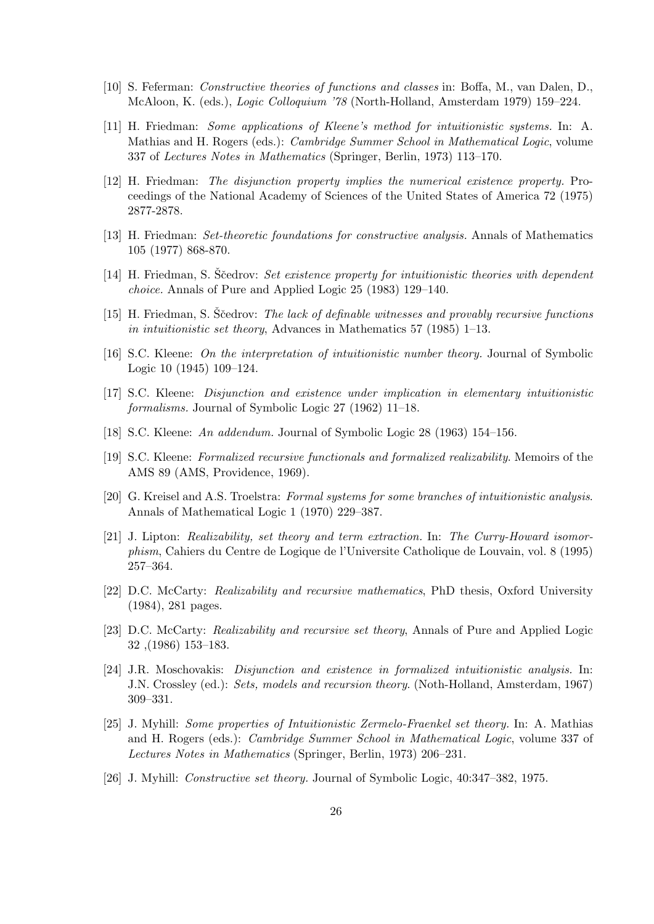- [10] S. Feferman: Constructive theories of functions and classes in: Boffa, M., van Dalen, D., McAloon, K. (eds.), Logic Colloquium '78 (North-Holland, Amsterdam 1979) 159–224.
- [11] H. Friedman: Some applications of Kleene's method for intuitionistic systems. In: A. Mathias and H. Rogers (eds.): Cambridge Summer School in Mathematical Logic, volume 337 of Lectures Notes in Mathematics (Springer, Berlin, 1973) 113–170.
- [12] H. Friedman: The disjunction property implies the numerical existence property. Proceedings of the National Academy of Sciences of the United States of America 72 (1975) 2877-2878.
- [13] H. Friedman: Set-theoretic foundations for constructive analysis. Annals of Mathematics 105 (1977) 868-870.
- [14] H. Friedman, S. Scedrov: Set existence property for intuitionistic theories with dependent choice. Annals of Pure and Applied Logic 25 (1983) 129–140.
- [15] H. Friedman, S. Scedrov: The lack of definable witnesses and provably recursive functions in intuitionistic set theory, Advances in Mathematics 57 (1985) 1–13.
- [16] S.C. Kleene: On the interpretation of intuitionistic number theory. Journal of Symbolic Logic 10 (1945) 109–124.
- [17] S.C. Kleene: Disjunction and existence under implication in elementary intuitionistic formalisms. Journal of Symbolic Logic 27 (1962) 11–18.
- [18] S.C. Kleene: An addendum. Journal of Symbolic Logic 28 (1963) 154–156.
- [19] S.C. Kleene: Formalized recursive functionals and formalized realizability. Memoirs of the AMS 89 (AMS, Providence, 1969).
- [20] G. Kreisel and A.S. Troelstra: Formal systems for some branches of intuitionistic analysis. Annals of Mathematical Logic 1 (1970) 229–387.
- [21] J. Lipton: Realizability, set theory and term extraction. In: The Curry-Howard isomorphism, Cahiers du Centre de Logique de l'Universite Catholique de Louvain, vol. 8 (1995) 257–364.
- [22] D.C. McCarty: Realizability and recursive mathematics, PhD thesis, Oxford University (1984), 281 pages.
- [23] D.C. McCarty: Realizability and recursive set theory, Annals of Pure and Applied Logic 32 ,(1986) 153–183.
- [24] J.R. Moschovakis: Disjunction and existence in formalized intuitionistic analysis. In: J.N. Crossley (ed.): Sets, models and recursion theory. (Noth-Holland, Amsterdam, 1967) 309–331.
- [25] J. Myhill: Some properties of Intuitionistic Zermelo-Fraenkel set theory. In: A. Mathias and H. Rogers (eds.): Cambridge Summer School in Mathematical Logic, volume 337 of Lectures Notes in Mathematics (Springer, Berlin, 1973) 206–231.
- [26] J. Myhill: Constructive set theory. Journal of Symbolic Logic, 40:347–382, 1975.